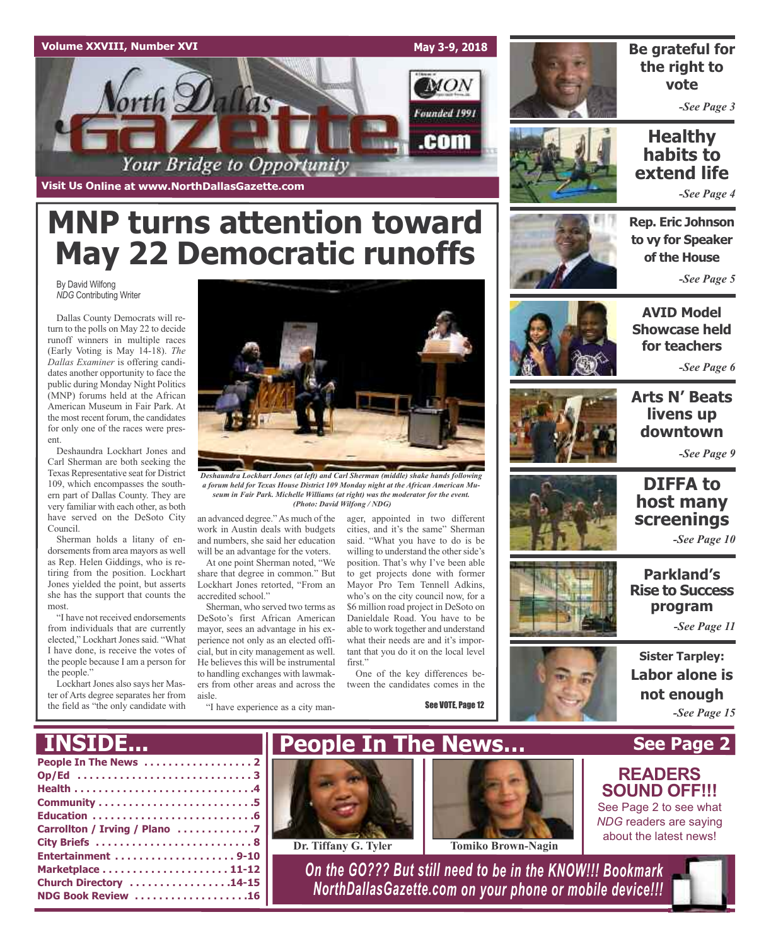



### **Be grateful for the right to vote**

*-See Page 3*

## **Healthy habits to extend life**

*-See Page 4*

# **MNP turns attention toward May 22 Democratic runoffs**

By David Wilfong *NDG* Contributing Writer

Dallas County Democrats will return to the polls on May 22 to decide runoff winners in multiple races (Early Voting is May 14-18). *The Dallas Examiner* is offering candidates another opportunity to face the public during Monday Night Politics (MNP) forums held at the African American Museum in Fair Park. At the most recent forum, the candidates for only one of the races were present.

Deshaundra Lockhart Jones and Carl Sherman are both seeking the Texas Representative seat for District 109, which encompasses the southern part of Dallas County. They are very familiar with each other, as both have served on the DeSoto City Council.

Sherman holds a litany of endorsements from area mayors as well as Rep. Helen Giddings, who is retiring from the position. Lockhart Jones yielded the point, but asserts she has the support that counts the most.

"I have not received endorsements from individuals that are currently elected," Lockhart Jones said. "What I have done, is receive the votes of the people because I am a person for the people."

Lockhart Jones also says her Master of Arts degree separates her from the field as "the only candidate with



*Deshaundra Lockhart Jones (at left) and Carl Sherman (middle) shake hands following a forum held for Texas House District 109 Monday night at the African American Museum in Fair Park. Michelle Williams (at right) was the moderator for the event. (Photo: David Wilfong / NDG)*

an advanced degree."As much of the work in Austin deals with budgets and numbers, she said her education will be an advantage for the voters.

At one point Sherman noted, "We share that degree in common." But Lockhart Jones retorted, "From an accredited school."

Sherman, who served two terms as DeSoto's first African American mayor, sees an advantage in his experience not only as an elected official, but in city management as well. He believes this will be instrumental to handling exchanges with lawmakers from other areas and across the aisle.

"I have experience as a city man-

ager, appointed in two different cities, and it's the same" Sherman said. "What you have to do is be willing to understand the other side's position. That's why I've been able to get projects done with former Mayor Pro Tem Tennell Adkins, who's on the city council now, for a \$6 million road project in DeSoto on Danieldale Road. You have to be able to work together and understand what their needs are and it's important that you do it on the local level first."

One of the key differences between the candidates comes in the

See VOTE, Page 12



**to vy for Speaker of the House** *-See Page 5*

**Rep. Eric Johnson**



**AVID Model Showcase held for teachers**

*-See Page 6*



## **Arts N' Beats livens up downtown**

*-See Page 9*





## **DIFFA to host many screenings**

*-See Page 10*

**Parkland's Rise to Success program**

*-See Page 11*

**Sister Tarpley: Labor alone is not enough** *-See Page 15*

**See Page 2**

**READERS SOUND OFF!!!** See Page 2 to see what *NDG* readers are saying about the latest news!

## **INSIDE...**

| _______________               |
|-------------------------------|
|                               |
|                               |
|                               |
|                               |
|                               |
| Carrollton / Irving / Plano 7 |
|                               |
|                               |
|                               |
| Church Directory 14-15        |
| NDG Book Review 16            |





**Dr. Tiffany G. Tyler Tomiko Brown-Nagin**

*On the GO??? But still need to be in the KNOW!!! Bookmark NorthDallasGazette.com on your phone or mobile device!!!*





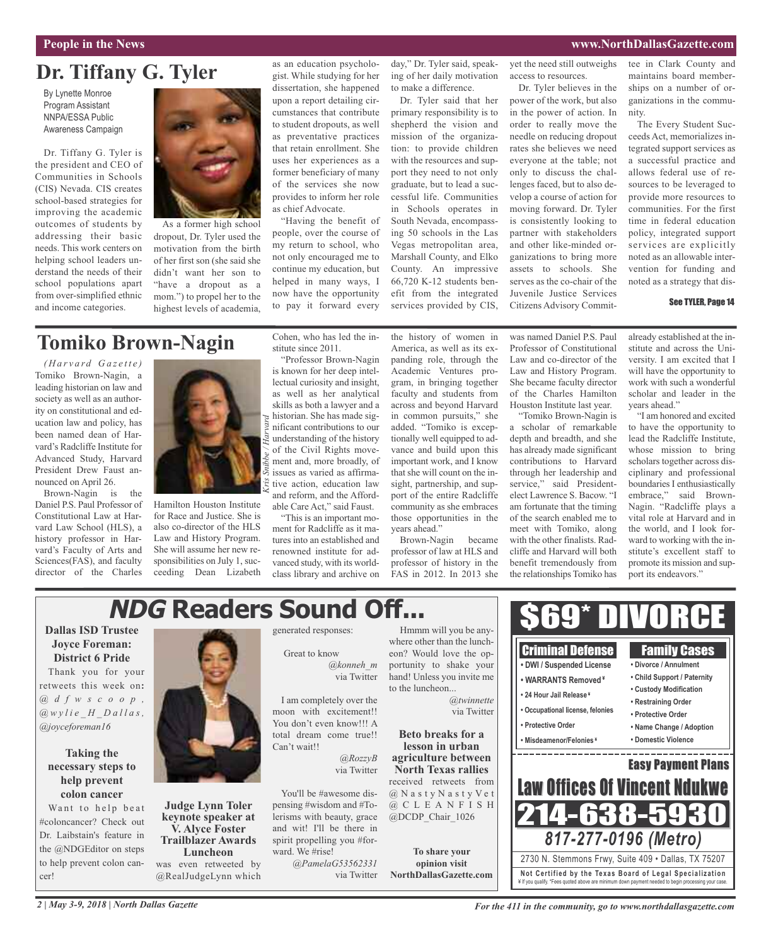### **People in the News www.NorthDallasGazette.com**

# **Dr. Tiffany G. Tyler**

By Lynette Monroe Program Assistant NNPA/ESSA Public Awareness Campaign

Dr. Tiffany G. Tyler is the president and CEO of Communities in Schools (CIS) Nevada. CIS creates school-based strategies for improving the academic outcomes of students by addressing their basic needs. This work centers on helping school leaders understand the needs of their school populations apart from over-simplified ethnic and income categories.



As a former high school dropout, Dr. Tyler used the motivation from the birth of her first son (she said she didn't want her son to "have a dropout as a mom.") to propel her to the highest levels of academia,

as an education psychologist. While studying for her dissertation, she happened upon a report detailing circumstances that contribute to student dropouts, as well as preventative practices that retain enrollment. She uses her experiences as a former beneficiary of many of the services she now provides to inform her role as chief Advocate.

"Having the benefit of people, over the course of my return to school, who not only encouraged me to continue my education, but helped in many ways, I now have the opportunity to pay it forward every

day," Dr. Tyler said, speaking of her daily motivation to make a difference.

Dr. Tyler said that her primary responsibility is to shepherd the vision and mission of the organization: to provide children with the resources and support they need to not only graduate, but to lead a successful life. Communities in Schools operates in South Nevada, encompassing 50 schools in the Las Vegas metropolitan area, Marshall County, and Elko County. An impressive 66,720 K-12 students benefit from the integrated services provided by CIS,

yet the need still outweighs access to resources.

Dr. Tyler believes in the power of the work, but also in the power of action. In order to really move the needle on reducing dropout rates she believes we need everyone at the table; not only to discuss the challenges faced, but to also develop a course of action for moving forward. Dr. Tyler is consistently looking to partner with stakeholders and other like-minded organizations to bring more assets to schools. She serves as the co-chair of the Juvenile Justice Services Citizens Advisory Committee in Clark County and maintains board memberships on a number of organizations in the community.

The Every Student Succeeds Act, memorializes integrated support services as a successful practice and allows federal use of resources to be leveraged to provide more resources to communities. For the first time in federal education policy, integrated support services are explicitly noted as an allowable intervention for funding and noted as a strategy that dis-

### See TYLER, Page 14

# **Tomiko Brown-Nagin**

*( H a r v a rd G a z e t t e )* Tomiko Brown-Nagin, a leading historian on law and society as well as an authority on constitutional and education law and policy, has been named dean of Harvard's Radcliffe Institute for Advanced Study, Harvard President Drew Faust announced on April 26.

Brown-Nagin is the Daniel P.S. Paul Professor of Constitutional Law at Harvard Law School (HLS), a history professor in Harvard's Faculty of Arts and Sciences(FAS), and faculty director of the Charles



Hamilton Houston Institute for Race and Justice. She is also co-director of the HLS Law and History Program. She will assume her new responsibilities on July 1, succeeding Dean Lizabeth Cohen, who has led the institute since 2011. "Professor Brown-Nagin

is known for her deep intellectual curiosity and insight, as well as her analytical skills as both a lawyer and a historian. She has made significant contributions to our understanding of the history of the Civil Rights movement and, more broadly, of issues as varied as affirmative action, education law and reform, and the Affordable Care Act," said Faust. *Kris Snibbe / Harvard*

"This is an important moment for Radcliffe as it matures into an established and renowned institute for advanced study, with its worldclass library and archive on the history of women in America, as well as its expanding role, through the Academic Ventures program, in bringing together faculty and students from across and beyond Harvard in common pursuits," she added. "Tomiko is exceptionally well equipped to advance and build upon this important work, and I know that she will count on the insight, partnership, and support of the entire Radcliffe community as she embraces those opportunities in the years ahead."

Brown-Nagin became professor of law at HLS and professor of history in the FAS in 2012. In 2013 she

was named Daniel P.S. Paul Professor of Constitutional Law and co-director of the Law and History Program. She became faculty director of the Charles Hamilton Houston Institute last year.

"Tomiko Brown-Nagin is a scholar of remarkable depth and breadth, and she has already made significant contributions to Harvard through her leadership and service," said Presidentelect Lawrence S. Bacow. "I am fortunate that the timing of the search enabled me to meet with Tomiko, along with the other finalists. Radcliffe and Harvard will both benefit tremendously from the relationships Tomiko has

already established at the institute and across the University. I am excited that I will have the opportunity to work with such a wonderful scholar and leader in the years ahead."

"I am honored and excited to have the opportunity to lead the Radcliffe Institute, whose mission to bring scholars together across disciplinary and professional boundaries I enthusiastically embrace," said Brown-Nagin. "Radcliffe plays a vital role at Harvard and in the world, and I look forward to working with the institute's excellent staff to promote its mission and support its endeavors."

### **NDG Readers Sound Off...** \$69\* DIVORCE **Dallas ISD Trustee** generated responses: Hmmm will you be anywhere other than the lunch-**Joyce Foreman:** Criminal Defense Family Cases Great to know eon? Would love the op-**District 6 Pride • DWI / Suspended License** *@konneh\_m* portunity to shake your **• Divorce / Annulment** Thank you for your hand! Unless you invite me **• Child Support / Paternity** via Twitter **• WARRANTS Removed ¥** to the luncheon... **• Custody Modification • 24 Hour Jail Release ¥** I am completely over the *@twinnette* **• Restraining Order • Occupational license, felonies** moon with excitement!! via Twitter **• Protective Order** You don't even know!!! A **• Protective Order • Name Change / Adoption Beto breaks for a** total dream come true!! **• Misdeamenor/Felonies ¥ • Domestic Violence** Can't wait!! **lesson in urban Taking the** *@RozzyB* **agriculture between** Easy Payment Plans via Twitter **North Texas rallies help prevent** received retweets from Law Offices Of Vincent Ndukwe **colon cancer** You'll be #awesome dis-@ N a s t y N a s t y V e t @ C L E A N F I S H **Judge Lynn Toler** pensing #wisdom and #To-Want to help beat 214-638-5 **keynote speaker at** lerisms with beauty, grace @DCDP\_Chair\_1026 **V. Alyce Foster** and wit! I'll be there in *817-277-0196 (Metro)* **Trailblazer Awards** spirit propelling you #forward. We #rise! **To share your Luncheon** 2730 N. Stemmons Frwy, Suite 409 • Dallas, TX 75207 was even retweeted by *@PamelaG53562331* **opinion visit Not Ce rtified by the Te x a s Boa rd of Lega l Spe c ia l i za tion NorthDallasGazette.com** @RealJudgeLynn which via Twitter ¥ If you qualify. \*Fees quoted above are minimum down payment needed to begin processing your case.

retweets this week on**:** *@ d f w s c o o p , @ w y l i e \_ H \_ D a l l a s , @joyceforeman16*

# **necessary steps to**

#coloncancer? Check out Dr. Laibstain's feature in the @NDGEditor on steps to help prevent colon cancer!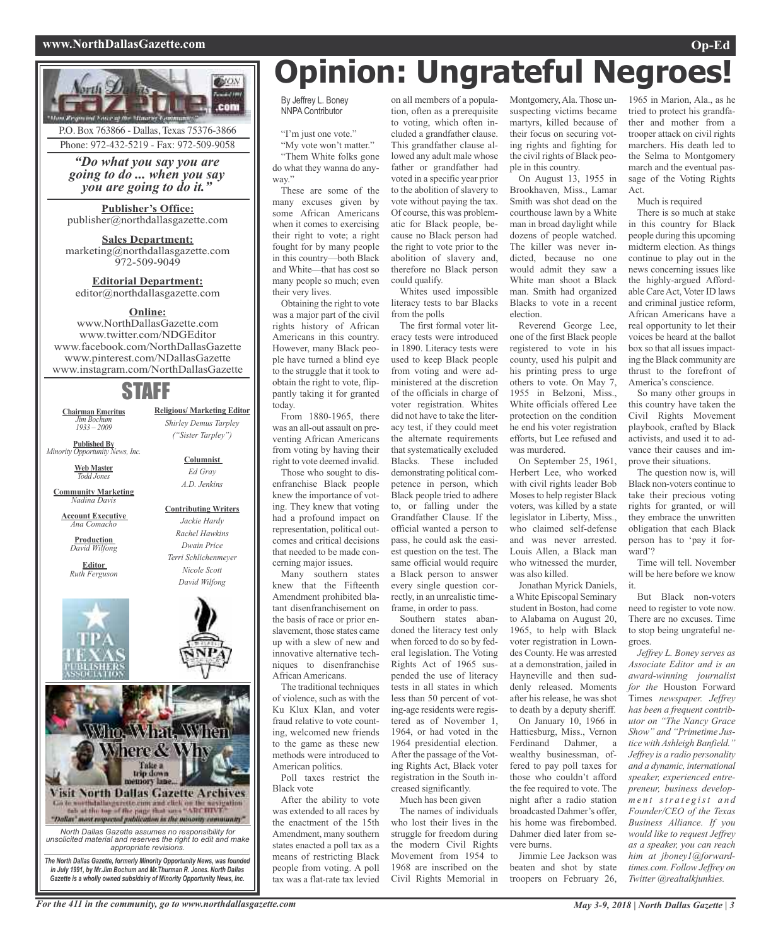### **www.NorthDallasGazette.com Op-Ed**





editor@northdallasgazette.com

### **Online:**

www.NorthDallasGazette.com www.twitter.com/NDGEditor www.facebook.com/NorthDallasGazette www.pinterest.com/NDallasGazette www.instagram.com/NorthDallasGazette

## STAFF

**Chairman Emeritus** *Jim Bochum 1933 – 2009*

**Published By** *Minority Opportunity News, Inc.*

> **Web Master** *Todd Jones*

**Community Marketing** *Nadina Davis*

**Account Executive** *Ana Comacho*

**Production** *David Wilfong*

**Editor** *Ruth Ferguson*



**Religious/ Marketing Editor** *Shirley Demus Tarpley ("Sister Tarpley")*

### **Columnist** *Ed Gray A.D. Jenkins*

### **Contributing Writers** *Jackie Hardy Rachel Hawkins Dwain Price Terri Schlichenmeyer Nicole Scott*





*in July 1991, by Mr.Jim Bochum and Mr.Thurman R. Jones. North Dallas Gazette is a wholly owned subsidairy of Minority Opportunity News, Inc.*

# **Opinion: Ungrateful Negroes!**

By Jeffrey L. Boney NNPA Contributor

"I'm just one vote."

"My vote won't matter." "Them White folks gone do what they wanna do anyway."

These are some of the many excuses given by some African Americans when it comes to exercising their right to vote; a right fought for by many people in this country—both Black and White—that has cost so many people so much; even their very lives.

Obtaining the right to vote was a major part of the civil rights history of African Americans in this country. However, many Black people have turned a blind eye to the struggle that it took to obtain the right to vote, flippantly taking it for granted today.

From 1880-1965, there was an all-out assault on preventing African Americans from voting by having their right to vote deemed invalid.

Those who sought to disenfranchise Black people knew the importance of voting. They knew that voting had a profound impact on representation, political outcomes and critical decisions that needed to be made concerning major issues.

Many southern states knew that the Fifteenth Amendment prohibited blatant disenfranchisement on the basis of race or prior enslavement, those states came up with a slew of new and innovative alternative techniques to disenfranchise African Americans.

The traditional techniques of violence, such as with the Ku Klux Klan, and voter fraud relative to vote counting, welcomed new friends to the game as these new methods were introduced to American politics.

Poll taxes restrict the Black vote

After the ability to vote was extended to all races by the enactment of the 15th Amendment, many southern states enacted a poll tax as a means of restricting Black people from voting. A poll tax was a flat-rate tax levied

on all members of a population, often as a prerequisite to voting, which often included a grandfather clause. This grandfather clause allowed any adult male whose father or grandfather had voted in a specific year prior to the abolition of slavery to vote without paying the tax. Of course, this was problematic for Black people, because no Black person had the right to vote prior to the abolition of slavery and, therefore no Black person could qualify.

Whites used impossible literacy tests to bar Blacks from the polls

The first formal voter literacy tests were introduced in 1890. Literacy tests were used to keep Black people from voting and were administered at the discretion of the officials in charge of voter registration. Whites did not have to take the literacy test, if they could meet the alternate requirements that systematically excluded Blacks. These included demonstrating political competence in person, which Black people tried to adhere to, or falling under the Grandfather Clause. If the official wanted a person to pass, he could ask the easiest question on the test. The same official would require a Black person to answer every single question correctly, in an unrealistic timeframe, in order to pass.

Southern states abandoned the literacy test only when forced to do so by federal legislation. The Voting Rights Act of 1965 suspended the use of literacy tests in all states in which less than 50 percent of voting-age residents were registered as of November 1, 1964, or had voted in the 1964 presidential election. After the passage of the Voting Rights Act, Black voter registration in the South increased significantly.

Much has been given

The names of individuals who lost their lives in the struggle for freedom during the modern Civil Rights Movement from 1954 to 1968 are inscribed on the Civil Rights Memorial in

Montgomery,Ala. Those unsuspecting victims became martyrs, killed because of their focus on securing voting rights and fighting for the civil rights of Black people in this country.

On August 13, 1955 in Brookhaven, Miss., Lamar Smith was shot dead on the courthouse lawn by a White man in broad daylight while dozens of people watched. The killer was never indicted, because no one would admit they saw a White man shoot a Black man. Smith had organized Blacks to vote in a recent election.

Reverend George Lee, one of the first Black people registered to vote in his county, used his pulpit and his printing press to urge others to vote. On May 7, 1955 in Belzoni, Miss., White officials offered Lee protection on the condition he end his voter registration efforts, but Lee refused and was murdered.

On September 25, 1961, Herbert Lee, who worked with civil rights leader Bob Mosesto help register Black voters, was killed by a state legislator in Liberty, Miss., who claimed self-defense and was never arrested. Louis Allen, a Black man who witnessed the murder, was also killed.

Jonathan Myrick Daniels, a White Episcopal Seminary student in Boston, had come to Alabama on August 20, 1965, to help with Black voter registration in Lowndes County. He was arrested at a demonstration, jailed in Hayneville and then suddenly released. Moments after his release, he was shot to death by a deputy sheriff.

On January 10, 1966 in Hattiesburg, Miss., Vernon Ferdinand Dahmer, a wealthy businessman, offered to pay poll taxes for those who couldn't afford the fee required to vote. The night after a radio station broadcasted Dahmer's offer, his home was firebombed. Dahmer died later from severe burns.

Jimmie Lee Jackson was beaten and shot by state troopers on February 26,

1965 in Marion, Ala., as he tried to protect his grandfather and mother from a trooper attack on civil rights marchers. His death led to the Selma to Montgomery march and the eventual passage of the Voting Rights Act.

### Much is required

There is so much at stake in this country for Black people during this upcoming midterm election. As things continue to play out in the news concerning issues like the highly-argued Affordable CareAct, Voter ID laws and criminal justice reform, African Americans have a real opportunity to let their voices be heard at the ballot box so that all issues impacting the Black community are thrust to the forefront of America's conscience.

So many other groups in this country have taken the Civil Rights Movement playbook, crafted by Black activists, and used it to advance their causes and improve their situations.

The question now is, will Black non-voters continue to take their precious voting rights for granted, or will they embrace the unwritten obligation that each Black person has to 'pay it forward'?

Time will tell. November will be here before we know it.

But Black non-voters need to register to vote now. There are no excuses. Time to stop being ungrateful negroes.

*Jeffrey L. Boney serves as Associate Editor and is an award-winning journalist for the* Houston Forward Times *newspaper. Jeffrey has been a frequent contributor on "The Nancy Grace Show" and "Primetime Justice with Ashleigh Banfield." Jeffrey is a radio personality and a dynamic, international speaker, experienced entrepreneur, business developm e n t str a t e g ist a n d Founder/CEO of the Texas Business Alliance. If you would like to request Jeffrey as a speaker, you can reach him at jboney1@forwardtimes.com. Follow Jeffrey on Twitter @realtalkjunkies.*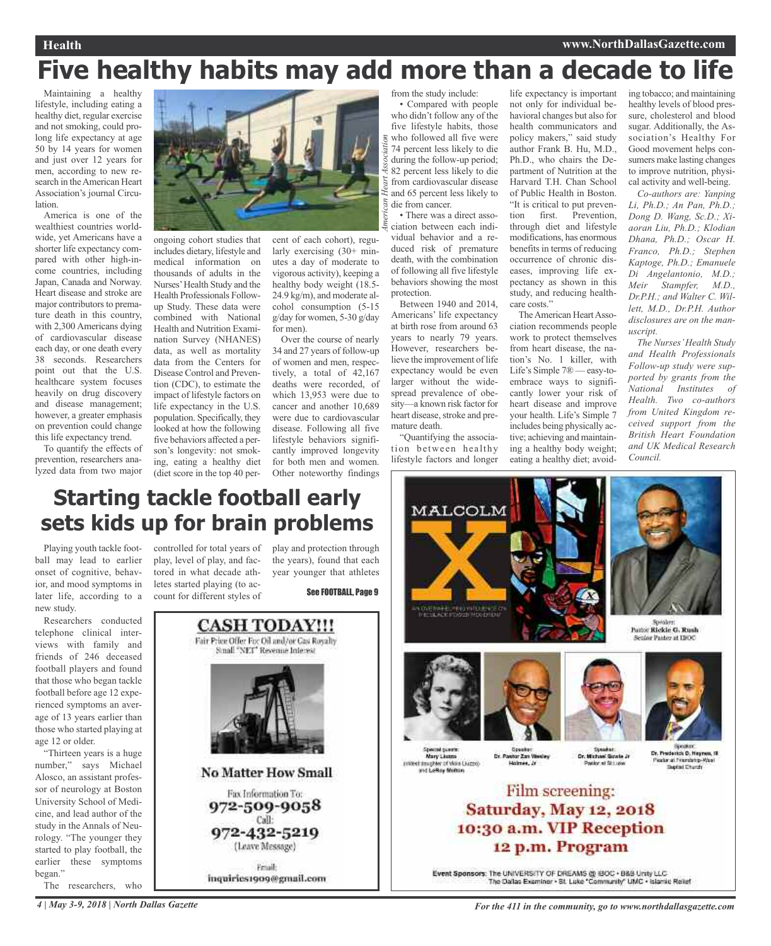# **Five healthy habits may add more than a decade to life**

*A*

*merican Heart Association*

Maintaining a healthy lifestyle, including eating a healthy diet, regular exercise and not smoking, could prolong life expectancy at age 50 by 14 years for women and just over 12 years for men, according to new research in the American Heart Association's journal Circulation.

America is one of the wealthiest countries worldwide, yet Americans have a shorter life expectancy compared with other high-income countries, including Japan, Canada and Norway. Heart disease and stroke are major contributors to premature death in this country, with 2,300 Americans dying of cardiovascular disease each day, or one death every 38 seconds. Researchers point out that the U.S. healthcare system focuses heavily on drug discovery and disease management; however, a greater emphasis on prevention could change this life expectancy trend.

To quantify the effects of prevention, researchers analyzed data from two major



ongoing cohort studies that includes dietary, lifestyle and medical information on thousands of adults in the Nurses'Health Study and the Health Professionals Followup Study. These data were combined with National Health and Nutrition Examination Survey (NHANES) data, as well as mortality data from the Centers for Disease Control and Prevention (CDC), to estimate the impact of lifestyle factors on life expectancy in the U.S. population. Specifically, they looked at how the following five behaviors affected a person's longevity: not smoking, eating a healthy diet (diet score in the top 40 per-

cent of each cohort), regularly exercising (30+ minutes a day of moderate to vigorous activity), keeping a healthy body weight (18.5- 24.9 kg/m), and moderate alcohol consumption (5-15 g/day for women, 5-30 g/day for men).

Over the course of nearly 34 and 27 years of follow-up of women and men, respectively, a total of 42,167 deaths were recorded, of which 13,953 were due to cancer and another 10,689 were due to cardiovascular disease. Following all five lifestyle behaviors significantly improved longevity for both men and women. Other noteworthy findings

from the study include:

• Compared with people who didn't follow any of the five lifestyle habits, those who followed all five were 74 percent less likely to die during the follow-up period; 82 percent less likely to die from cardiovascular disease and 65 percent less likely to die from cancer.

• There was a direct association between each individual behavior and a reduced risk of premature death, with the combination of following all five lifestyle behaviors showing the most protection.

Between 1940 and 2014, Americans' life expectancy at birth rose from around 63 years to nearly 79 years. However, researchers believe the improvement of life expectancy would be even larger without the widespread prevalence of obesity—a known risk factor for heart disease, stroke and premature death.

"Quantifying the association between healthy lifestyle factors and longer life expectancy is important not only for individual behavioral changes but also for health communicators and policy makers," said study author Frank B. Hu, M.D., Ph.D., who chairs the Department of Nutrition at the Harvard T.H. Chan School of Public Health in Boston. "It is critical to put prevention first. Prevention, through diet and lifestyle modifications, has enormous benefits in terms of reducing occurrence of chronic diseases, improving life expectancy as shown in this study, and reducing healthcare costs."

The American Heart Association recommends people work to protect themselves from heart disease, the nation's No. 1 killer, with Life's Simple 7® — easy-toembrace ways to significantly lower your risk of heart disease and improve your health. Life's Simple 7 includes being physically active; achieving and maintaining a healthy body weight; eating a healthy diet; avoiding tobacco; and maintaining healthy levels of blood pressure, cholesterol and blood sugar. Additionally, the Association's Healthy For Good movement helps consumers make lasting changes to improve nutrition, physical activity and well-being.

*Co-authors are: Yanping Li, Ph.D.; An Pan, Ph.D.; Dong D. Wang, Sc.D.; Xiaoran Liu, Ph.D.; Klodian Dhana, Ph.D.; Oscar H. Franco, Ph.D.; Stephen Kaptoge, Ph.D.; Emanuele Di Angelantonio, M.D.; Meir Stampfer, M.D., Dr.P.H.; and Walter C. Willett, M.D., Dr.P.H. Author disclosures are on the manuscript.*

*The Nurses'Health Study and Health Professionals Follow-up study were supported by grants from the National Institutes of Health. Two co-authors from United Kingdom received support from the British Heart Foundation and UK Medical Research Council.*

# **Starting tackle football early sets kids up for brain problems**

Playing youth tackle football may lead to earlier onset of cognitive, behavior, and mood symptoms in later life, according to a new study.

Researchers conducted telephone clinical interviews with family and friends of 246 deceased football players and found that those who began tackle football before age 12 experienced symptoms an average of 13 years earlier than those who started playing at age 12 or older.

"Thirteen years is a huge number," says Michael Alosco, an assistant professor of neurology at Boston University School of Medicine, and lead author of the study in the Annals of Neurology. "The younger they started to play football, the earlier these symptoms began." The researchers, who

controlled for total years of play and protection through play, level of play, and factored in what decade athletes started playing (to account for different styles of

the years), found that each year younger that athletes

See FOOTBALL, Page 9









Spadat Or. Michael Grade Jr. widor at filt Luise

Dr. Ponter **Ick D. Hears** Venter at Franchisto-Wine

### Film screening: Saturday, May 12, 2018 10:30 a.m. VIP Reception 12 p.m. Program

Event Sponsors: The UNIVERSITY OF DREAMS @ IBOC + B&B Unity LLC<br>The Dalas Examiner - St. Luke "Cammunity" UMC - Islamic Relief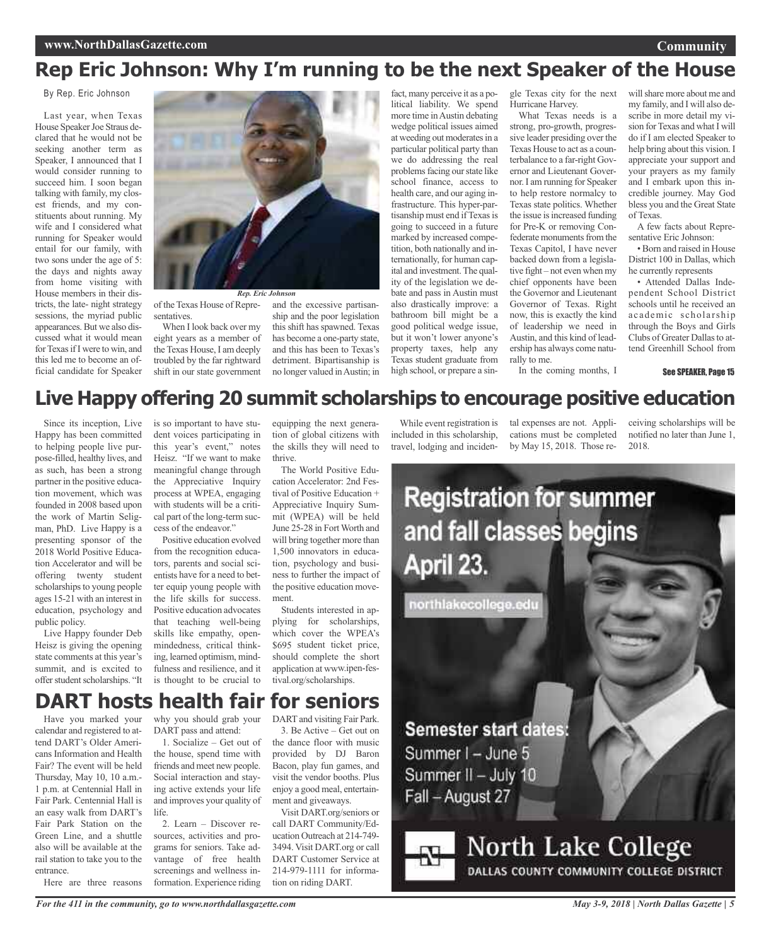# **Rep Eric Johnson: Why I'm running to be the next Speaker of the House**

By Rep. Eric Johnson

Last year, when Texas House Speaker Joe Straus declared that he would not be seeking another term as Speaker, I announced that I would consider running to succeed him. I soon began talking with family, my closest friends, and my constituents about running. My wife and I considered what running for Speaker would entail for our family, with two sons under the age of 5: the days and nights away from home visiting with House members in their districts, the late- night strategy sessions, the myriad public appearances. But we also discussed what it would mean for Texas if I were to win, and this led me to become an official candidate for Speaker



of the Texas House of Repre-

sentatives. When I look back over my eight years as a member of the Texas House, I am deeply troubled by the far rightward shift in our state government and the excessive partisanship and the poor legislation this shift has spawned. Texas has become a one-party state, and this has been to Texas's detriment. Bipartisanship is no longer valued inAustin; in

fact, many perceive it as a political liability. We spend more time inAustin debating wedge political issues aimed at weeding out moderates in a particular political party than we do addressing the real problems facing our state like school finance, access to health care, and our aging infrastructure. This hyper-partisanship must end if Texas is going to succeed in a future marked by increased competition, both nationally and internationally, for human capital and investment.The quality of the legislation we debate and pass in Austin must also drastically improve: a bathroom bill might be a good political wedge issue, but it won't lower anyone's property taxes, help any Texas student graduate from high school, or prepare a single Texas city for the next Hurricane Harvey.

What Texas needs is a strong, pro-growth, progressive leader presiding over the Texas House to act as a counterbalance to a far-right Governor and Lieutenant Governor. I am running for Speaker to help restore normalcy to Texas state politics. Whether the issue is increased funding for Pre-K or removing Confederate monuments from the Texas Capitol, I have never backed down from a legislative fight – not even when my chief opponents have been the Governor and Lieutenant Governor of Texas. Right now, this is exactly the kind of leadership we need in Austin, and this kind of leadership has always come naturally to me.

willshare more about me and my family, and I will also describe in more detail my vision for Texas and what I will do if I am elected Speaker to help bring about this vision. I appreciate your support and your prayers as my family and I embark upon this incredible journey. May God bless you and the Great State of Texas.

A few facts about Representative Eric Johnson:

• Born and raised in House District 100 in Dallas, which he currently represents

• Attended Dallas Independent School District schools until he received an academic scholarship through the Boys and Girls Clubs of Greater Dallas to attend Greenhill School from

See SPEAKER, Page 15

# **Live Happy offering 20 summit scholarships to encourage positive education**

Since its inception, Live Happy has been committed to helping people live purpose-filled, healthy lives, and as such, has been <sup>a</sup> strong partner in the positive education movement, which was founded in 2008 based upon the work of Martin Seligman, PhD. Live Happy is <sup>a</sup> presenting sponsor of the 2018 World Positive Education Accelerator and will be offering twenty student scholarships to young people ages 15-21 with an interest in education, psychology and public policy.

Live Happy founder Deb Heisz is giving the opening state comments at this year's summit, and is excited to offer student scholarships. "It

is so important to have student voices participating in this year's event," notes Heisz. "If we want to make meaningful change through the Appreciative Inquiry process at WPEA, engaging with students will be <sup>a</sup> critical part of the long-term success of the endeavor."

Positive education evolved from the recognition educators, parents and social scientists have for <sup>a</sup> need to better equip young people with the life skills for success. Positive education advocates that teaching well-being skills like empathy, openmindedness, critical thinking, learned optimism, mindfulness and resilience, and it is thought to be crucial to

equipping the next generation of global citizens with the skills they will need to thrive.

The World Positive Education Accelerator: 2nd Festival of Positive Education + Appreciative Inquiry Summit (WPEA) will be held June 25-28 in Fort Worth and will bring together more than 1,500 innovators in education, psychology and business to further the impact of the positive education movement.

Students interested in applying for scholarships, which cover the WPEA's \$695 student ticket price, should complete the short application at www.ipen-festival.org/scholarships.

3. Be Active – Get out on the dance floor with music provided by DJ Baron Bacon, play fun games, and visit the vendor booths. Plus enjoy a good meal, entertainment and giveaways.

Visit DART.org/seniors or call DART Community/Education Outreach at 214-749- 3494. Visit DART.org or call DART Customer Service at 214-979-1111 for information on riding DART.

While event registration is included in this scholarship, travel, lodging and inciden-

tal expenses are not. Applications must be completed by May 15, 2018. Those re-

In the coming months, I

ceiving scholarships will be notified no later than June 1, 2018.



### **DART hosts health fair for seniors** DART and visiting Fair Park.

Have you marked your calendar and registered to attend DART's Older Americans Information and Health Fair? The event will be held Thursday, May 10, 10 a.m.- 1 p.m. at Centennial Hall in Fair Park. Centennial Hall is an easy walk from DART's Fair Park Station on the Green Line, and a shuttle also will be available at the rail station to take you to the entrance.

Here are three reasons

why you should grab your DART pass and attend: 1. Socialize – Get out of

the house, spend time with friends and meet new people. Social interaction and staying active extends your life and improves your quality of life.

2. Learn – Discover resources, activities and programs for seniors. Take advantage of free health screenings and wellness information. Experience riding

*For the 411 in the community, go to www.northdallasgazette.com*

*May 3-9, 2018 | North Dallas Gazette | 5*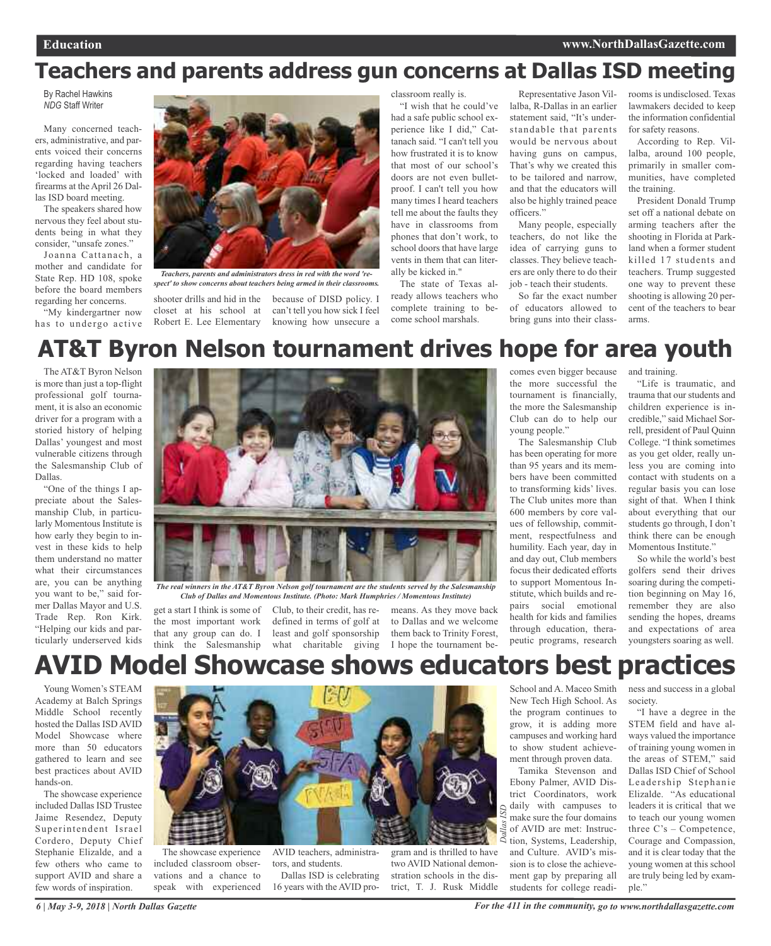# **Teachers and parents address gun concerns at Dallas ISD meeting**

By Rachel Hawkins *NDG* Staff Writer

Many concerned teachers, administrative, and parents voiced their concerns regarding having teachers 'locked and loaded' with firearms at the April 26 Dallas ISD board meeting.

The speakers shared how nervous they feel about students being in what they consider, "unsafe zones."

Joanna Cattanach, a mother and candidate for State Rep. HD 108, spoke before the board members regarding her concerns.

"My kindergartner now has to undergo active



*Teachers, parents and administrators dress in red with the word 'respect' to show concerns about teachers being armed in their classrooms.*

shooter drills and hid in the because of DISD policy. I closet at his school at Robert E. Lee Elementary can't tell you how sick I feel knowing how unsecure a

classroom really is.

"I wish that he could've had a safe public school experience like I did," Cattanach said. "I can't tell you how frustrated it is to know that most of our school's doors are not even bulletproof. I can't tell you how many times I heard teachers tell me about the faults they have in classrooms from phones that don't work, to school doors that have large vents in them that can literally be kicked in."

The state of Texas already allows teachers who complete training to become school marshals.

Representative Jason Villalba, R-Dallas in an earlier statement said, "It's understandable that parents would be nervous about having guns on campus, That's why we created this to be tailored and narrow, and that the educators will also be highly trained peace officers."

Many people, especially teachers, do not like the idea of carrying guns to classes. They believe teachers are only there to do their job - teach their students.

So far the exact number of educators allowed to bring guns into their classrooms is undisclosed. Texas lawmakers decided to keep the information confidential for safety reasons.

According to Rep. Villalba, around 100 people, primarily in smaller communities, have completed the training.

President Donald Trump set off a national debate on arming teachers after the shooting in Florida at Parkland when a former student killed 17 students and teachers. Trump suggested one way to prevent these shooting is allowing 20 percent of the teachers to bear arms.

# **AT&T Byron Nelson tournament drives hope for area youth**

The AT&T Byron Nelson is more than just a top-flight professional golf tournament, it is also an economic driver for a program with a storied history of helping Dallas' youngest and most vulnerable citizens through the Salesmanship Club of Dallas.

"One of the things I appreciate about the Salesmanship Club, in particularly Momentous Institute is how early they begin to invest in these kids to help them understand no matter what their circumstances are, you can be anything you want to be," said former Dallas Mayor and U.S. Trade Rep. Ron Kirk. "Helping our kids and particularly underserved kids



*The real winners in the AT&T Byron Nelson golf tournament are the students served by the Salesmanship Club of Dallas and Momentous Institute. (Photo: Mark Humphries / Momentous Institute)*

get a start I think is some of Club, to their credit, has rethe most important work that any group can do. I

think the Salesmanship what charitable giving I hope the tournament bedefined in terms of golf at least and golf sponsorship

means. As they move back to Dallas and we welcome them back to Trinity Forest,

comes even bigger because the more successful the tournament is financially, the more the Salesmanship Club can do to help our young people."

The Salesmanship Club has been operating for more than 95 years and its members have been committed to transforming kids' lives. The Club unites more than 600 members by core values of fellowship, commitment, respectfulness and humility. Each year, day in and day out, Club members focus their dedicated efforts to support Momentous Institute, which builds and repairs social emotional health for kids and families through education, therapeutic programs, research

and training.

"Life is traumatic, and trauma that our students and children experience is incredible," said Michael Sorrell, president of Paul Quinn College. "I think sometimes as you get older, really unless you are coming into contact with students on a regular basis you can lose sight of that. When I think about everything that our students go through, I don't think there can be enough Momentous Institute."

So while the world's best golfers send their drives soaring during the competition beginning on May 16, remember they are also sending the hopes, dreams and expectations of area youngsters soaring as well.

# **AVID Model Showcase shows educators best practices**

Young Women's STEAM Academy at Balch Springs Middle School recently hosted the Dallas ISD AVID Model Showcase where more than 50 educators gathered to learn and see best practices about AVID hands-on.

The showcase experience included Dallas ISD Trustee Jaime Resendez, Deputy Superintendent Israel Cordero, Deputy Chief Stephanie Elizalde, and a few others who came to support AVID and share a few words of inspiration.



The showcase experience included classroom observations and a chance to speak with experienced

AVID teachers, administrators, and students.

Dallas ISD is celebrating 16 years with the AVID program and is thrilled to have two AVID National demonstration schools in the district, T. J. Rusk Middle School and A. Maceo Smith New Tech High School. As the program continues to grow, it is adding more campuses and working hard to show student achievement through proven data.

Tamika Stevenson and Ebony Palmer, AVID District Coordinators, work daily with campuses to make sure the four domains of AVID are met: Instruction, Systems, Leadership, and Culture. AVID's mission is to close the achievement gap by preparing all students for college readi-*Dallas ISD*

ness and success in a global society.

"I have a degree in the STEM field and have always valued the importance of training young women in the areas of STEM," said Dallas ISD Chief of School Leadership Stephanie Elizalde. "As educational leaders it is critical that we to teach our young women three C's – Competence, Courage and Compassion, and it is clear today that the young women at this school are truly being led by example."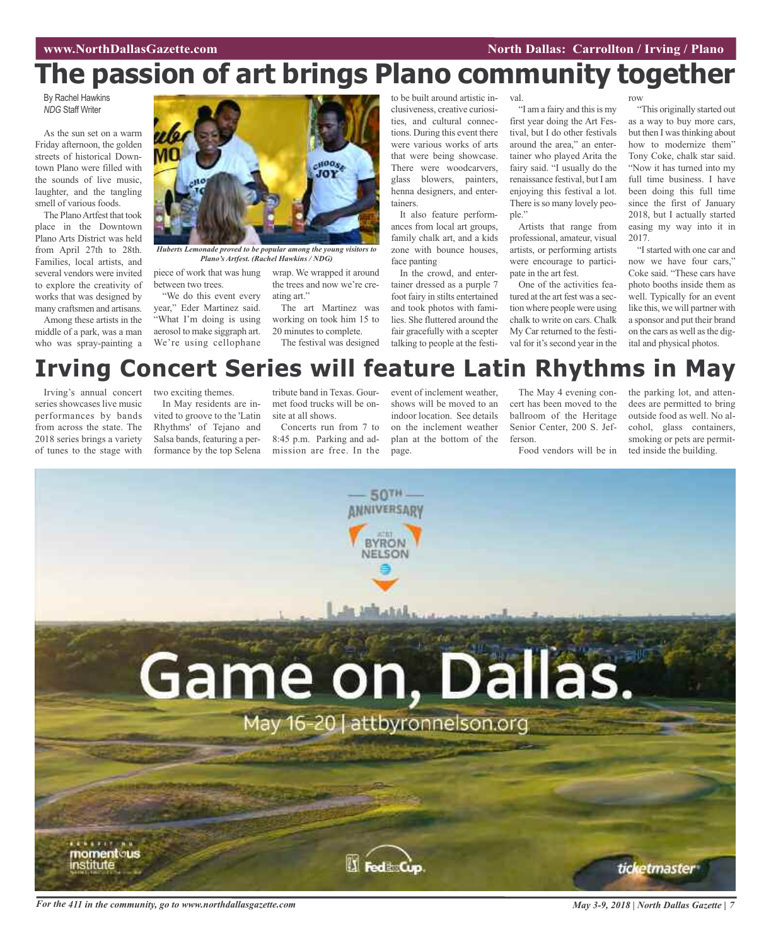# **The passion of art brings Plano community together**

By Rachel Hawkins *NDG* Staff Writer

As the sun set on a warm Friday afternoon, the golden streets of historical Downtown Plano were filled with the sounds of live music, laughter, and the tangling smell of various foods.

The Plano Artfest that took place in the Downtown Plano Arts District was held from April 27th to 28th. Families, local artists, and several vendors were invited to explore the creativity of works that was designed by many craftsmen and artisans.

Among these artists in the middle of a park, was a man who was spray-painting a



*Huberts Lemonade proved to be popular among the young visitors to Plano's Artfest. (Rachel Hawkins / NDG)*

piece of work that was hung between two trees.

"We do this event every year," Eder Martinez said. "What I'm doing is using aerosol to make siggraph art. We're using cellophane

wrap. We wrapped it around the trees and now we're creating art."

The art Martinez was working on took him 15 to 20 minutes to complete.

The festival was designed

to be built around artistic inclusiveness, creative curiosities, and cultural connections. During this event there were various works of arts that were being showcase. There were woodcarvers, glass blowers, painters, henna designers, and entertainers.

It also feature performances from local art groups, family chalk art, and a kids zone with bounce houses, face panting

In the crowd, and entertainer dressed as a purple 7 foot fairy in stilts entertained and took photos with families. She fluttered around the fair gracefully with a scepter talking to people at the festi-

val.

"I am a fairy and this is my first year doing the Art Festival, but I do other festivals around the area," an entertainer who played Arita the fairy said. "I usually do the renaissance festival, but I am enjoying this festival a lot. There is so many lovely people."

Artists that range from professional, amateur, visual artists, or performing artists were encourage to participate in the art fest.

One of the activities featured at the art fest was a section where people were using chalk to write on cars. Chalk My Car returned to the festival for it's second year in the row

"This originally started out as a way to buy more cars, but then I was thinking about how to modernize them" Tony Coke, chalk star said. "Now it has turned into my full time business. I have been doing this full time since the first of January 2018, but I actually started easing my way into it in 2017.

"I started with one car and now we have four cars," Coke said. "These cars have photo booths inside them as well. Typically for an event like this, we will partner with a sponsor and put their brand on the cars as well asthe digital and physical photos.

# **Irving Concert Series will feature Latin Rhythms in May**

Irving's annual concert series showcases live music performances by bands from across the state. The 2018 series brings a variety of tunes to the stage with two exciting themes.

In May residents are invited to groove to the 'Latin Rhythms' of Tejano and Salsa bands, featuring a performance by the top Selena tribute band in Texas. Gourmet food trucks will be onsite at all shows.

Concerts run from 7 to 8:45 p.m. Parking and admission are free. In the

event of inclement weather, shows will be moved to an indoor location. See details on the inclement weather plan at the bottom of the page.

The May 4 evening concert has been moved to the ballroom of the Heritage Senior Center, 200 S. Jefferson.

Food vendors will be in

the parking lot, and attendees are permitted to bring outside food as well. No alcohol, glass containers, smoking or pets are permitted inside the building.



For the 411 in the community, go to www.northdallasgazette.com May 3-9, 2018 | North Dallas Gazette | 7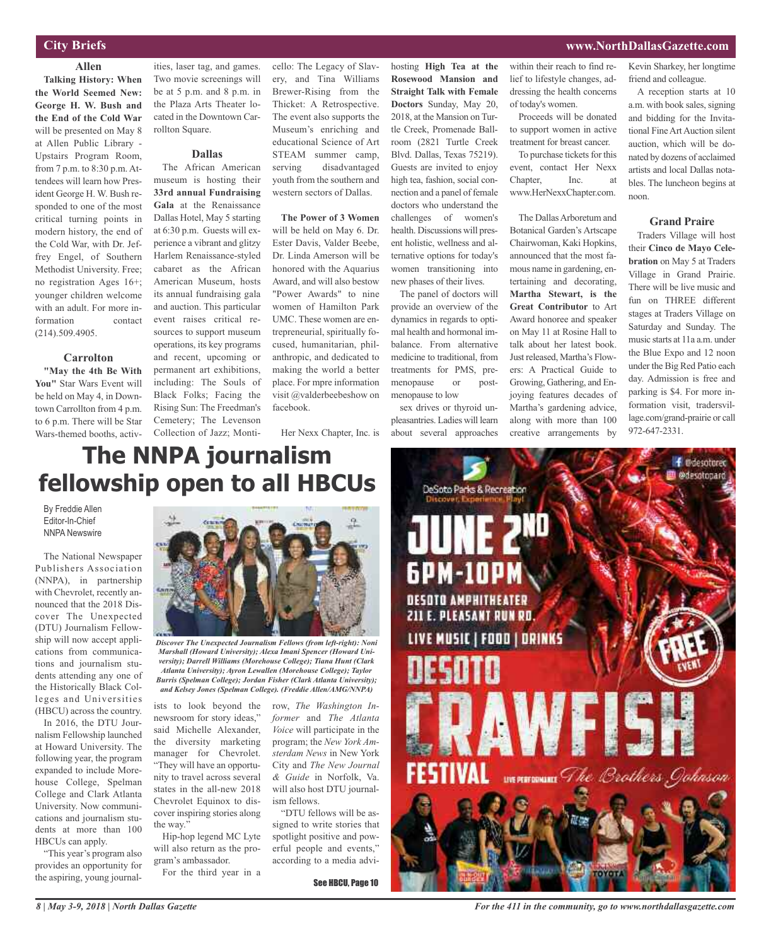### **City Briefs**

### **Allen**

**Talking History: When the World Seemed New: George H. W. Bush and the End of the Cold War** will be presented on May 8 at Allen Public Library - Upstairs Program Room, from 7 p.m. to 8:30 p.m. Attendees will learn how President George H. W. Bush responded to one of the most critical turning points in modern history, the end of the Cold War, with Dr. Jeffrey Engel, of Southern Methodist University. Free; no registration Ages 16+; younger children welcome with an adult. For more information contact (214).509.4905.

### **Carrolton**

**"May the 4th Be With You"** Star Wars Event will be held on May 4, in Downtown Carrollton from 4 p.m. to 6 p.m. There will be Star Wars-themed booths, activ-

ities, laser tag, and games. Two movie screenings will be at 5 p.m. and 8 p.m. in the Plaza Arts Theater located in the Downtown Carrollton Square.

**Dallas**

The African American museum is hosting their **33rd annual Fundraising Gala** at the Renaissance Dallas Hotel, May 5 starting at 6:30 p.m. Guests will experience a vibrant and glitzy Harlem Renaissance-styled cabaret as the African American Museum, hosts its annual fundraising gala and auction. This particular event raises critical resources to support museum operations, its key programs and recent, upcoming or permanent art exhibitions, including: The Souls of Black Folks; Facing the Rising Sun: The Freedman's Cemetery; The Levenson Collection of Jazz; Monti-

cello: The Legacy of Slavery, and Tina Williams Brewer-Rising from the Thicket: A Retrospective. The event also supports the Museum's enriching and educational Science of Art STEAM summer camp, serving disadvantaged youth from the southern and western sectors of Dallas.

**The Power of 3 Women** will be held on May 6. Dr. Ester Davis, Valder Beebe, Dr. Linda Amerson will be honored with the Aquarius Award, and will also bestow "Power Awards" to nine women of Hamilton Park UMC. These women are entrepreneurial, spiritually focused, humanitarian, philanthropic, and dedicated to making the world a better place. For mpre information visit @valderbeebeshow on facebook.

Her Nexx Chapter, Inc. is

hosting **High Tea at the Rosewood Mansion and Straight Talk with Female Doctors** Sunday, May 20, 2018, at the Mansion on Turtle Creek, Promenade Ballroom (2821 Turtle Creek Blvd. Dallas, Texas 75219). Guests are invited to enjoy high tea, fashion, social connection and a panel of female doctors who understand the challenges of women's health. Discussions will present holistic, wellness and alternative options for today's women transitioning into

new phases of their lives. The panel of doctors will provide an overview of the dynamics in regards to optimal health and hormonal imbalance. From alternative medicine to traditional, from treatments for PMS, premenopause or postmenopause to low

sex drives or thyroid unpleasantries. Ladies will learn about several approaches within their reach to find relief to lifestyle changes, addressing the health concerns of today's women.

Proceeds will be donated to support women in active treatment for breast cancer.

To purchase tickets for this event, contact Her Nexx Chapter, Inc. at www.HerNexxChapter.com.

The Dallas Arboretum and Botanical Garden's Artscape Chairwoman, Kaki Hopkins, announced that the most famous name in gardening, entertaining and decorating, **Martha Stewart, is the Great Contributor** to Art Award honoree and speaker on May 11 at Rosine Hall to talk about her latest book. Just released, Martha's Flowers: A Practical Guide to Growing, Gathering, and Enjoying features decades of Martha's gardening advice, along with more than 100 creative arrangements by

Kevin Sharkey, her longtime friend and colleague.

A reception starts at 10 a.m. with book sales, signing and bidding for the Invitational FineArtAuction silent auction, which will be donated by dozens of acclaimed artists and local Dallas notables. The luncheon begins at noon.

### **Grand Praire**

Traders Village will host their **Cinco de Mayo Celebration** on May 5 at Traders Village in Grand Prairie. There will be live music and fun on THREE different stages at Traders Village on Saturday and Sunday. The music starts at 11a a.m. under the Blue Expo and 12 noon under the Big Red Patio each day. Admission is free and parking is \$4. For more information visit, tradersvillage.com/grand-prairie or call 972-647-2331.

### **www.NorthDallasGazette.com**

# **The NNPA journalism fellowship open to all HBCUs**

By Freddie Allen Editor-In-Chief NNPA Newswire

The National Newspaper Publishers Association (NNPA), in partnership with Chevrolet, recently announced that the 2018 Discover The Unexpected (DTU) Journalism Fellowship will now accept applications from communications and journalism students attending any one of the Historically Black Colleges and Universities (HBCU) across the country.

In 2016, the DTU Journalism Fellowship launched at Howard University. The following year, the program expanded to include Morehouse College, Spelman College and Clark Atlanta University. Now communications and journalism students at more than 100 HBCUs can apply.

"This year's program also provides an opportunity for the aspiring, young journal-



*Discover The Unexpected Journalism Fellows (from left-right): Noni Marshall (Howard University); Alexa Imani Spencer (Howard University); Darrell Williams (Morehouse College); Tiana Hunt (Clark Atlanta University); Ayron Lewallen (Morehouse College); Taylor Burris (Spelman College); Jordan Fisher (Clark Atlanta University); and Kelsey Jones (Spelman College). (Freddie Allen/AMG/NNPA)*

ists to look beyond the newsroom for story ideas," said Michelle Alexander, the diversity marketing manager for Chevrolet. "They will have an opportunity to travel across several states in the all-new 2018 Chevrolet Equinox to discover inspiring stories along the way."

Hip-hop legend MC Lyte will also return as the program's ambassador. For the third year in a

row, *The Washington Informer* and *The Atlanta Voice* will participate in the program; the *New York Amsterdam News* in New York City and *The New Journal & Guide* in Norfolk, Va. will also host DTU journalism fellows.

"DTU fellows will be assigned to write stories that spotlight positive and powerful people and events," according to a media advi-

See HBCU, Page 10



*For the 411 in the community, go to www.northdallasgazette.com*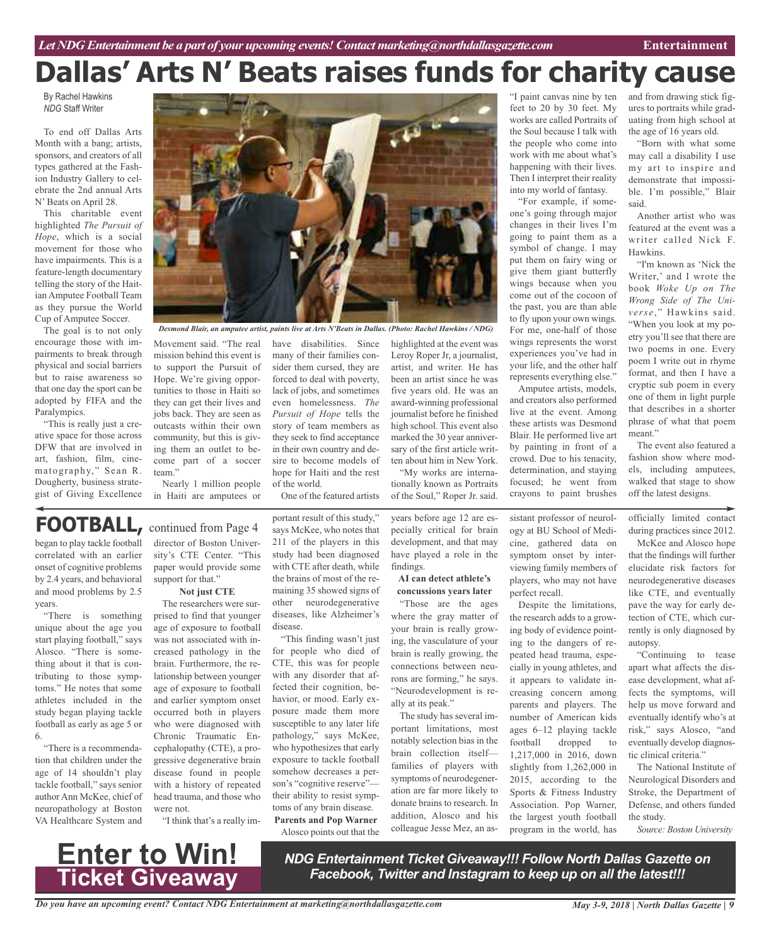# **Dallas' Arts N' Beats raises funds for charity cause**

By Rachel Hawkins *NDG* Staff Writer

To end off Dallas Arts Month with a bang; artists, sponsors, and creators of all types gathered at the Fashion Industry Gallery to celebrate the 2nd annual Arts N' Beats on April 28.

This charitable event highlighted *The Pursuit of Hope*, which is a social movement for those who have impairments. This is a feature-length documentary telling the story of the Haitian Amputee Football Team as they pursue the World Cup of Amputee Soccer.

The goal is to not only encourage those with impairments to break through physical and social barriers but to raise awareness so that one day the sport can be adopted by FIFA and the Paralympics.

"This is really just a creative space for those across DFW that are involved in art, fashion, film, cinematography," Sean R. Dougherty, business strategist of Giving Excellence

began to play tackle football correlated with an earlier onset of cognitive problems by 2.4 years, and behavioral and mood problems by 2.5

"There is something unique about the age you start playing football," says Alosco. "There is something about it that is contributing to those symptoms." He notes that some athletes included in the study began playing tackle football as early as age 5 or

"There is a recommendation that children under the age of 14 shouldn't play tackle football," says senior author Ann McKee, chief of neuropathology at Boston VA Healthcare System and

years.

6.



*Desmond Blair, an amputee artist, paints live at Arts N'Beats in Dallas. (Photo: Rachel Hawkins / NDG)*

Movement said. "The real mission behind this event is to support the Pursuit of Hope. We're giving opportunities to those in Haiti so they can get their lives and jobs back. They are seen as outcasts within their own community, but this is giving them an outlet to become part of a soccer team.'

Nearly 1 million people in Haiti are amputees or

director of Boston University's CTE Center. "This paper would provide some

**Not just CTE** The researchers were surprised to find that younger age of exposure to football was not associated with increased pathology in the brain. Furthermore, the relationship between younger age of exposure to football and earlier symptom onset occurred both in players who were diagnosed with Chronic Traumatic Encephalopathy (CTE), a progressive degenerative brain disease found in people with a history of repeated head trauma, and those who

support for that."

**FOOTBALL,** continued from Page <sup>4</sup>

have disabilities. Since many of their families consider them cursed, they are forced to deal with poverty, lack of jobs, and sometimes even homelessness. *The Pursuit of Hope* tells the story of team members as they seek to find acceptance in their own country and desire to become models of hope for Haiti and the rest of the world.

One of the featured artists

portant result of this study," says McKee, who notes that 211 of the players in this study had been diagnosed with CTE after death, while the brains of most of the remaining 35 showed signs of other neurodegenerative diseases, like Alzheimer's disease.

"This finding wasn't just for people who died of CTE, this was for people with any disorder that affected their cognition, behavior, or mood. Early exposure made them more susceptible to any later life pathology," says McKee, who hypothesizes that early exposure to tackle football somehow decreases a person's "cognitive reserve" their ability to resist symptoms of any brain disease. **Parents and Pop Warner** Alosco points out that the

highlighted at the event was Leroy Roper Jr, a journalist, artist, and writer. He has been an artist since he was five years old. He was an award-winning professional journalist before he finished high school. This event also marked the 30 year anniversary of the first article written about him in New York.

"My works are internationally known as Portraits of the Soul," Roper Jr. said.

years before age 12 are especially critical for brain development, and that may have played a role in the findings.

**AI can detect athlete's concussions years later**

"Those are the ages where the gray matter of your brain is really growing, the vasculature of your brain is really growing, the connections between neurons are forming," he says. "Neurodevelopment is really at its peak."

The study has several important limitations, most notably selection bias in the brain collection itself families of players with symptoms of neurodegeneration are far more likely to donate brains to research. In addition, Alosco and his colleague Jesse Mez, an as"I paint canvas nine by ten feet to 20 by 30 feet. My works are called Portraits of the Soul because I talk with the people who come into work with me about what's happening with their lives. Then I interpret their reality into my world of fantasy.

"For example, if someone's going through major changes in their lives I'm going to paint them as a symbol of change. I may put them on fairy wing or give them giant butterfly wings because when you come out of the cocoon of the past, you are than able to fly upon your own wings. For me, one-half of those wings represents the worst experiences you've had in your life, and the other half represents everything else."

Amputee artists, models, and creators also performed live at the event. Among these artists was Desmond Blair. He performed live art by painting in front of a crowd. Due to his tenacity, determination, and staying focused; he went from crayons to paint brushes

sistant professor of neurology at BU School of Medicine, gathered data on symptom onset by interviewing family members of players, who may not have perfect recall.

Despite the limitations, the research adds to a growing body of evidence pointing to the dangers of repeated head trauma, especially in young athletes, and it appears to validate increasing concern among parents and players. The number of American kids ages 6–12 playing tackle football dropped to 1,217,000 in 2016, down slightly from 1,262,000 in 2015, according to the Sports & Fitness Industry Association. Pop Warner, the largest youth football program in the world, has

and from drawing stick figures to portraits while graduating from high school at the age of 16 years old.

"Born with what some may call a disability I use my art to inspire and demonstrate that impossible. I'm possible," Blair said.

Another artist who was featured at the event was a writer called Nick F. Hawkins.

"I'm known as 'Nick the Writer,' and I wrote the book *Woke Up on The Wrong Side of The Universe*," Hawkins said. "When you look at my poetry you'll see that there are two poems in one. Every poem I write out in rhyme format, and then I have a cryptic sub poem in every one of them in light purple that describes in a shorter phrase of what that poem meant."

The event also featured a fashion show where models, including amputees, walked that stage to show off the latest designs.

officially limited contact during practices since 2012.

McKee and Alosco hope that the findings will further elucidate risk factors for neurodegenerative diseases like CTE, and eventually pave the way for early detection of CTE, which currently is only diagnosed by autopsy.

"Continuing to tease apart what affects the disease development, what affects the symptoms, will help us move forward and eventually identify who's at risk," says Alosco, "and eventually develop diagnostic clinical criteria."

The National Institute of Neurological Disorders and Stroke, the Department of Defense, and others funded the study.

*Source: Boston University*



were not.

"I think that's a really im-

*NDG Entertainment Ticket Giveaway!!! Follow North Dallas Gazette on Facebook, Twitter and Instagram to keep up on all the latest!!!*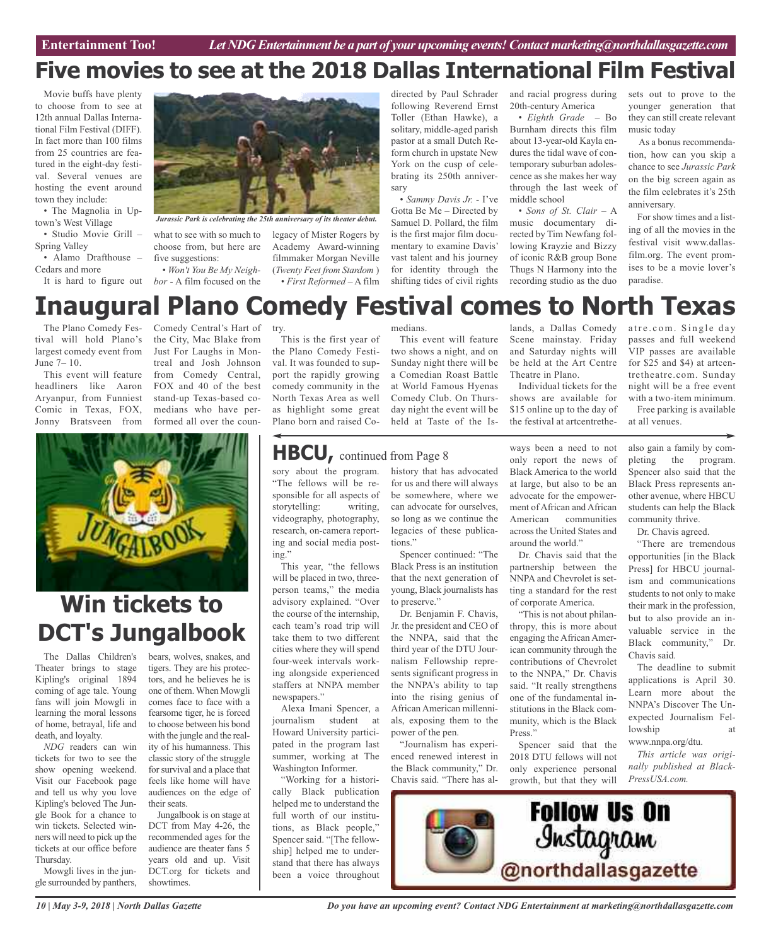# **Five movies to see at the 2018 Dallas International Film Festival**

Movie buffs have plenty to choose from to see at 12th annual Dallas International Film Festival (DIFF). In fact more than 100 films from 25 countries are featured in the eight-day festival. Several venues are hosting the event around town they include:

• The Magnolia in Uptown's West Village

• Studio Movie Grill – Spring Valley

• Alamo Drafthouse – Cedars and more

It is hard to figure out

*Jurassic Park is celebrating the 25th anniversary of its theater debut.*

what to see with so much to choose from, but here are five suggestions:

• *Won't You Be My Neighbor* - A film focused on the

legacy of Mister Rogers by Academy Award-winning filmmaker Morgan Neville (*Twenty Feet from Stardom* ) • *First Reformed* – A film directed by Paul Schrader following Reverend Ernst Toller (Ethan Hawke), a solitary, middle-aged parish pastor at a small Dutch Reform church in upstate New York on the cusp of celebrating its 250th anniversary

• *Sammy Davis Jr.* - I've Gotta Be Me – Directed by Samuel D. Pollard, the film is the first major film documentary to examine Davis' vast talent and his journey for identity through the shifting tides of civil rights

and racial progress during 20th-century America

• *Eighth Grade* – Bo Burnham directs this film about 13-year-old Kayla endures the tidal wave of contemporary suburban adolescence as she makes her way through the last week of middle school

• *Sons of St. Clair* – A music documentary directed by Tim Newfang following Krayzie and Bizzy of iconic R&B group Bone Thugs N Harmony into the recording studio as the duo sets out to prove to the younger generation that they can still create relevant music today

As a bonus recommendation, how can you skip a chance to see *Jurassic Park* on the big screen again as the film celebrates it's 25th anniversary.

For show times and a listing of all the movies in the festival visit www.dallasfilm.org. The event promises to be a movie lover's paradise.

## **Inaugural Plano Comedy Festival comes to North Texas** atre.com. Single day

The Plano Comedy Festival will hold Plano's largest comedy event from June 7– 10.

This event will feature headliners like Aaron Aryanpur, from Funniest Comic in Texas, FOX, Jonny Bratsveen from

Comedy Central's Hart of the City, Mac Blake from Just For Laughs in Montreal and Josh Johnson from Comedy Central, FOX and 40 of the best stand-up Texas-based comedians who have performed all over the coun-



# **Win tickets to DCT's Jungalbook**

The Dallas Children's Theater brings to stage Kipling's original 1894 coming of age tale. Young fans will join Mowgli in learning the moral lessons of home, betrayal, life and death, and loyalty.

*NDG* readers can win tickets for two to see the show opening weekend. Visit our Facebook page and tell us why you love Kipling's beloved The Jungle Book for a chance to win tickets. Selected winners will need to pick up the tickets at our office before Thursday.

Mowgli lives in the jungle surrounded by panthers, bears, wolves, snakes, and tigers. They are his protectors, and he believes he is one of them.When Mowgli comes face to face with a fearsome tiger, he is forced to choose between his bond with the jungle and the reality of his humanness. This classic story of the struggle for survival and a place that feels like home will have audiences on the edge of their seats.

Jungalbook is on stage at DCT from May 4-26, the recommended ages for the audience are theater fans 5 years old and up. Visit DCT.org for tickets and showtimes.

try.

This is the first year of the Plano Comedy Festival. It was founded to support the rapidly growing comedy community in the North Texas Area as well as highlight some great Plano born and raised Co-

"The fellows will be responsible for all aspects of storytelling: writing, videography, photography,

the course of the internship, each team's road trip will take them to two different cities where they will spend four-week intervals working alongside experienced staffers at NNPA member

Alexa Imani Spencer, a journalism student at Howard University participated in the program last summer, working at The Washington Informer. "Working for a historically Black publication helped me to understand the full worth of our institutions, as Black people," Spencer said. "[The fellowship] helped me to understand that there has always been a voice throughout

newspapers."

ing."

medians.

This event will feature two shows a night, and on Sunday night there will be a Comedian Roast Battle at World Famous Hyenas Comedy Club. On Thursday night the event will be held at Taste of the Is-

lands, a Dallas Comedy Scene mainstay. Friday and Saturday nights will be held at the Art Centre Theatre in Plano.

Individual tickets for the shows are available for \$15 online up to the day of the festival at artcentrethe-

ways been a need to not only report the news of Black America to the world at large, but also to be an advocate for the empowerment of African and African American communities across the United States and around the world."

Dr. Chavis said that the partnership between the NNPA and Chevrolet is setting a standard for the rest of corporate America.

"This is not about philanthropy, this is more about engaging the African American community through the contributions of Chevrolet to the NNPA," Dr. Chavis said. "It really strengthens one of the fundamental institutions in the Black community, which is the Black Press.'

Spencer said that the 2018 DTU fellows will not only experience personal growth, but that they will VIP passes are available for \$25 and \$4) at artcentretheatre.com. Sunday night will be a free event with a two-item minimum. Free parking is available at all venues.

passes and full weekend

also gain a family by completing the program. Spencer also said that the Black Press represents another avenue, where HBCU students can help the Black community thrive.

Dr. Chavis agreed.

"There are tremendous opportunities [in the Black Press] for HBCU journalism and communications students to not only to make their mark in the profession, but to also provide an invaluable service in the Black community," Dr. Chavis said.

The deadline to submit applications is April 30. Learn more about the NNPA's Discover The Unexpected Journalism Fellowship www.nnpa.org/dtu.

*This article was originally published at Black-PressUSA.com.*



sory about the program. history that has advocated for us and there will always be somewhere, where we can advocate for ourselves, so long as we continue the legacies of these publica-**HBCU,** continued from Page <sup>8</sup>

> Spencer continued: "The to preserve."

Dr. Benjamin F. Chavis, Jr. the president and CEO of the NNPA, said that the third year of the DTU Journalism Fellowship represents significant progress in the NNPA's ability to tap into the rising genius of African American millennials, exposing them to the

the Black community," Dr. Chavis said. "There has al-

power of the pen. "Journalism has experi-

enced renewed interest in

### research, on-camera reporting and social media post-This year, "the fellows will be placed in two, threeperson teams," the media advisory explained. "Over tions." Black Press is an institution that the next generation of young, Black journalists has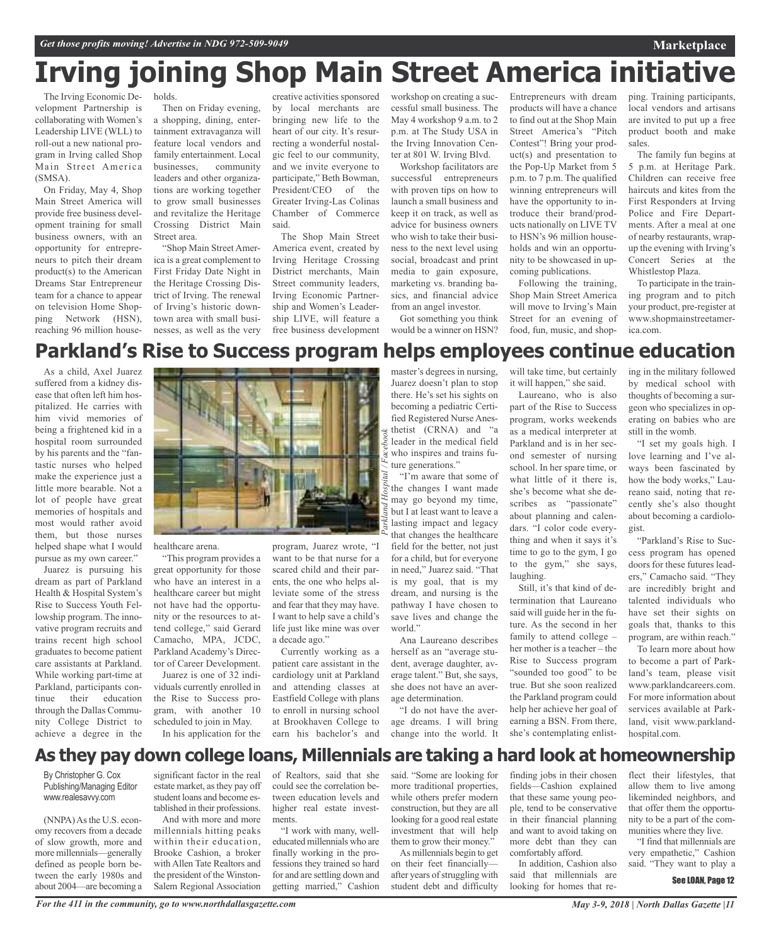holds.

# **Irving joining Shop Main Street America initiative**

The Irving Economic Development Partnership is collaborating with Women's Leadership LIVE (WLL) to roll-out a new national program in Irving called Shop Main Street America (SMSA).

On Friday, May 4, Shop Main Street America will provide free business development training for small business owners, with an opportunity for entrepreneurs to pitch their dream product(s) to the American Dreams Star Entrepreneur team for a chance to appear on television Home Shopping Network (HSN), reaching 96 million house-

Then on Friday evening, a shopping, dining, entertainment extravaganza will feature local vendors and family entertainment. Local businesses, community leaders and other organizations are working together to grow small businesses and revitalize the Heritage Crossing District Main

Street area. "Shop Main Street America is a great complement to First Friday Date Night in the Heritage Crossing District of Irving. The renewal of Irving's historic downtown area with small businesses, as well as the very

creative activities sponsored by local merchants are bringing new life to the heart of our city. It's resurrecting a wonderful nostalgic feel to our community, and we invite everyone to participate," Beth Bowman, President/CEO of the Greater Irving-Las Colinas Chamber of Commerce said.

The Shop Main Street America event, created by Irving Heritage Crossing District merchants, Main Street community leaders, Irving Economic Partnership and Women's Leadership LIVE, will feature a free business development workshop on creating a successful small business. The May 4 workshop 9 a.m. to 2 p.m. at The Study USA in the Irving Innovation Center at 801 W. Irving Blvd.

Workshop facilitators are successful entrepreneurs with proven tips on how to launch a small business and keep it on track, as well as advice for business owners who wish to take their business to the next level using social, broadcast and print media to gain exposure, marketing vs. branding basics, and financial advice from an angel investor.

Got something you think would be a winner on HSN? Entrepreneurs with dream products will have a chance to find out at the Shop Main Street America's "Pitch Contest"! Bring your product(s) and presentation to the Pop-Up Market from 5 p.m. to 7 p.m. The qualified winning entrepreneurs will have the opportunity to introduce their brand/products nationally on LIVE TV to HSN's 96 million households and win an opportunity to be showcased in upcoming publications.

Following the training, Shop Main Street America will move to Irving's Main Street for an evening of food, fun, music, and shopping. Training participants, local vendors and artisans are invited to put up a free product booth and make sales.

**Marketplace**

The family fun begins at 5 p.m. at Heritage Park. Children can receive free haircuts and kites from the First Responders at Irving Police and Fire Departments. After a meal at one of nearby restaurants, wrapup the evening with Irving's Concert Series at the Whistlestop Plaza.

To participate in the training program and to pitch your product, pre-register at www.shopmainstreetamerica.com.

# **Parkland's Rise to Success program helps employees continue education**

As a child, Axel Juarez suffered from a kidney disease that often left him hospitalized. He carries with him vivid memories of being a frightened kid in a hospital room surrounded by his parents and the "fantastic nurses who helped make the experience just a little more bearable. Not a lot of people have great memories of hospitals and most would rather avoid them, but those nurses helped shape what I would pursue as my own career."

Juarez is pursuing his dream as part of Parkland Health & Hospital System's Rise to Success Youth Fellowship program. The innovative program recruits and trains recent high school graduates to become patient care assistants at Parkland. While working part-time at Parkland, participants continue their education through the Dallas Community College District to achieve a degree in the



healthcare arena.

"This program provides a great opportunity for those who have an interest in a healthcare career but might not have had the opportunity or the resources to attend college," said Gerard Camacho, MPA, JCDC, Parkland Academy's Director of Career Development.

Juarez is one of 32 individuals currently enrolled in the Rise to Success program, with another 10 scheduled to join in May. In his application for the

program, Juarez wrote, "I want to be that nurse for a scared child and their parents, the one who helps alleviate some of the stress and fear that they may have. I want to help save a child's life just like mine was over a decade ago."

Currently working as a patient care assistant in the cardiology unit at Parkland and attending classes at Eastfield College with plans to enroll in nursing school at Brookhaven College to earn his bachelor's and

master's degrees in nursing, Juarez doesn't plan to stop there. He's set his sights on becoming a pediatric Certified Registered Nurse Anesthetist (CRNA) and "a leader in the medical field who inspires and trains future generations."

"I'm aware that some of the changes I want made may go beyond my time, but I at least want to leave a lasting impact and legacy that changes the healthcare field for the better, not just for a child, but for everyone in need," Juarez said. "That is my goal, that is my dream, and nursing is the pathway I have chosen to save lives and change the world."

Ana Laureano describes herself as an "average student, average daughter, average talent." But, she says, she does not have an average determination.

"I do not have the average dreams. I will bring change into the world. It

will take time, but certainly it will happen," she said.

Laureano, who is also part of the Rise to Success program, works weekends as a medical interpreter at Parkland and is in her second semester of nursing school. In her spare time, or what little of it there is, she's become what she describes as "passionate" about planning and calendars. "I color code everything and when it says it's time to go to the gym, I go to the gym," she says, laughing.

Still, it's that kind of determination that Laureano said will guide her in the future. As the second in her family to attend college – her mother is a teacher – the Rise to Success program "sounded too good" to be true. But she soon realized the Parkland program could help her achieve her goal of earning a BSN. From there, she's contemplating enlisting in the military followed by medical school with thoughts of becoming a surgeon who specializes in operating on babies who are still in the womb.

"I set my goals high. I love learning and I've always been fascinated by how the body works," Laureano said, noting that recently she's also thought about becoming a cardiologist.

"Parkland's Rise to Success program has opened doors for these futures leaders," Camacho said. "They are incredibly bright and talented individuals who have set their sights on goals that, thanks to this program, are within reach."

To learn more about how to become a part of Parkland's team, please visit www.parklandcareers.com. For more information about services available at Parkland, visit www.parklandhospital.com.

## **As they pay down college loans, Millennials are taking a hard look at homeownership**

*Parkland*

*Hospital / Facebook*

By Christopher G. Cox Publishing/Managing Editor www.realesavvy.com

(NNPA) As the U.S. economy recovers from a decade of slow growth, more and more millennials—generally defined as people born between the early 1980s and about 2004—are becoming a

significant factor in the real estate market, as they pay off student loans and become established in their professions.

And with more and more millennials hitting peaks within their education, Brooke Cashion, a broker with Allen Tate Realtors and the president of the Winston-Salem Regional Association of Realtors, said that she could see the correlation between education levels and higher real estate investments.

"I work with many, welleducated millennials who are finally working in the professions they trained so hard for and are settling down and getting married," Cashion

said. "Some are looking for more traditional properties, while others prefer modern construction, but they are all looking for a good real estate investment that will help them to grow their money."

As millennials begin to get on their feet financially after years of struggling with student debt and difficulty finding jobs in their chosen fields—Cashion explained that these same young people, tend to be conservative in their financial planning and want to avoid taking on more debt than they can comfortably afford.

In addition, Cashion also said that millennials are looking for homes that re-

flect their lifestyles, that allow them to live among likeminded neighbors, and that offer them the opportunity to be a part of the communities where they live.

"I find that millennials are very empathetic," Cashion said. "They want to play a

See LOAN, Page 12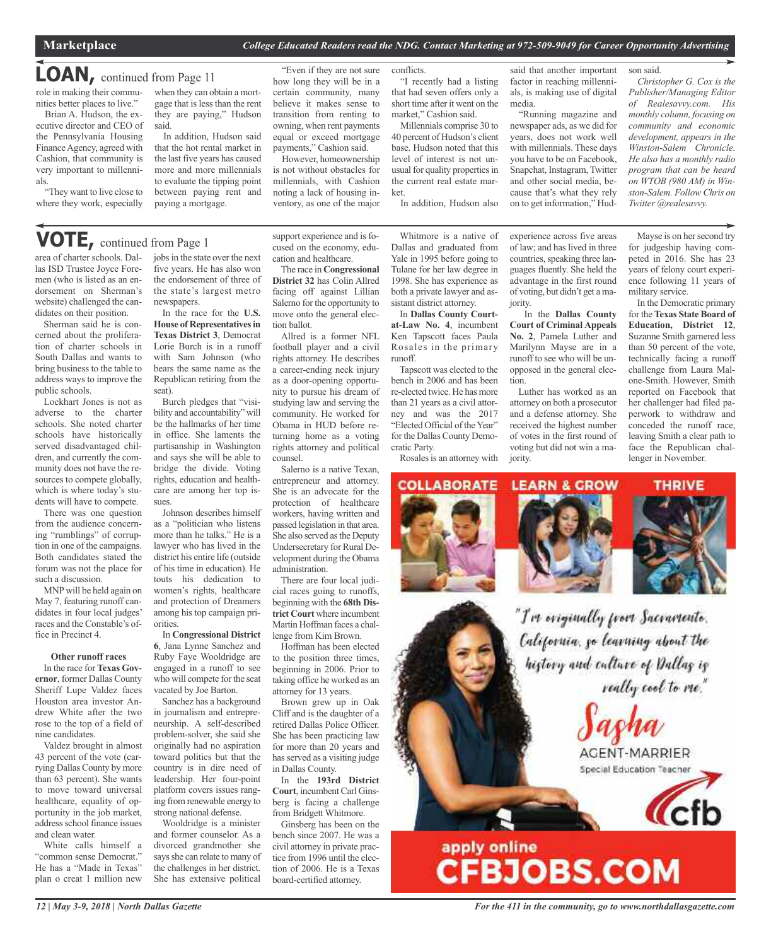# **LOAN,** continued from Page <sup>11</sup>

role in making their communities better places to live."

Brian A. Hudson, the executive director and CEO of the Pennsylvania Housing Finance Agency, agreed with Cashion, that community is very important to millennials.

"They want to live close to where they work, especially when they can obtain a mortgage that is less than the rent they are paying," Hudson said.

In addition, Hudson said that the hot rental market in the last five years has caused more and more millennials to evaluate the tipping point between paying rent and paying a mortgage.

"Even if they are not sure how long they will be in a certain community, many believe it makes sense to transition from renting to owning, when rent payments equal or exceed mortgage payments," Cashion said.

However, homeownership is not without obstacles for millennials, with Cashion noting a lack of housing inventory, as one of the major

conflicts. "I recently had a listing that had seven offers only a short time after it went on the

market," Cashion said. Millennials comprise 30 to 40 percent of Hudson's client base. Hudson noted that this level of interest is not unusual for quality properties in the current real estate market.

In addition, Hudson also

said that another important factor in reaching millennials, is making use of digital media.

"Running magazine and newspaper ads, as we did for years, does not work well with millennials. These days you have to be on Facebook, Snapchat, Instagram, Twitter and other social media, because that's what they rely on to get information," Hud-

son said. *Christopher G. Cox is the Publisher/Managing Editor of Realesavvy.com. His monthly column, focusing on community and economic development, appears in the Winston-Salem Chronicle. He also has a monthly radio program that can be heard on WTOB (980 AM) in Winston-Salem. Follow Chris on*

**VOTE,** continued from Page <sup>1</sup>

area of charter schools. Dallas ISD Trustee Joyce Foremen (who is listed as an endorsement on Sherman's website) challenged the candidates on their position.

Sherman said he is concerned about the proliferation of charter schools in South Dallas and wants to bring business to the table to address ways to improve the public schools.

Lockhart Jones is not as adverse to the charter schools. She noted charter schools have historically served disadvantaged children, and currently the community does not have the resources to compete globally, which is where today's students will have to compete.

There was one question from the audience concerning "rumblings" of corruption in one of the campaigns. Both candidates stated the forum was not the place for such a discussion.

MNPwill be held again on May 7, featuring runoff candidates in four local judges' races and the Constable's office in Precinct 4.

### **Other runoff races**

In the race for **Texas Governor**, former Dallas County Sheriff Lupe Valdez faces Houston area investor Andrew White after the two rose to the top of a field of nine candidates.

Valdez brought in almost 43 percent of the vote (carrying Dallas County by more than 63 percent). She wants to move toward universal healthcare, equality of opportunity in the job market, address school finance issues and clean water.

White calls himself a "common sense Democrat." He has a "Made in Texas" plan o creat 1 million new

jobs in the state over the next five years. He has also won the endorsement of three of the state's largest metro newspapers.

In the race for the **U.S. House of Representativesin Texas District 3**, Democrat Lorie Burch is in a runoff with Sam Johnson (who bears the same name as the Republican retiring from the seat).

Burch pledges that "visibility and accountability" will be the hallmarks of her time in office. She laments the partisanship in Washington and says she will be able to bridge the divide. Voting rights, education and healthcare are among her top issues.

Johnson describes himself as a "politician who listens more than he talks." He is a lawyer who has lived in the district his entire life (outside of his time in education). He touts his dedication to women's rights, healthcare and protection of Dreamers among his top campaign priorities.

In **Congressional District 6**, Jana Lynne Sanchez and Ruby Faye Wooldridge are engaged in a runoff to see who will compete for the seat vacated by Joe Barton.

Sanchez has a background in journalism and entrepreneurship. A self-described problem-solver, she said she originally had no aspiration toward politics but that the country is in dire need of leadership. Her four-point platform covers issues ranging from renewable energy to strong national defense.

Wooldridge is a minister and former counselor. As a divorced grandmother she says she can relate to many of the challenges in her district. She has extensive political

support experience and is focused on the economy, education and healthcare.

The race in **Congressional District 32** has Colin Allred facing off against Lillian Salerno for the opportunity to move onto the general election ballot.

Allred is a former NFL football player and a civil rights attorney. He describes a career-ending neck injury as a door-opening opportunity to pursue his dream of studying law and serving the community. He worked for Obama in HUD before returning home as a voting rights attorney and political counsel.

Salerno is a native Texan, entrepreneur and attorney. She is an advocate for the protection of healthcare workers, having written and passed legislation in that area. She also served as the Deputy Undersecretary for Rural Development during the Obama administration.

There are four local judicial races going to runoffs, beginning with the **68th District Court** where incumbent Martin Hoffman faces a challenge from Kim Brown.

Hoffman has been elected to the position three times, beginning in 2006. Prior to taking office he worked as an attorney for 13 years.

Brown grew up in Oak Cliff and is the daughter of a retired Dallas Police Officer. She has been practicing law for more than 20 years and has served as a visiting judge in Dallas County.

In the **193rd District Court**, incumbent Carl Ginsberg is facing a challenge from Bridgett Whitmore.

Ginsberg has been on the bench since 2007. He was a civil attorney in private practice from 1996 until the election of 2006. He is a Texas board-certified attorney.

Whitmore is a native of Dallas and graduated from Yale in 1995 before going to Tulane for her law degree in 1998. She has experience as both a private lawyer and assistant district attorney.

In **Dallas County Courtat-Law No. 4**, incumbent Ken Tapscott faces Paula Rosales in the primary runoff.

Tapscott was elected to the bench in 2006 and has been re-elected twice. He has more than 21 years as a civil attorney and was the 2017 "Elected Official of the Year" for the Dallas County Democratic Party.

Rosales is an attorney with



experience across five areas of law; and has lived in three countries, speaking three languages fluently. She held the advantage in the first round of voting, but didn't get a majority. In the **Dallas County**

**Court of Criminal Appeals No. 2**, Pamela Luther and Marilynn Mayse are in a runoff to see who will be unopposed in the general election.

Luther has worked as an attorney on both a prosecutor and a defense attorney. She received the highest number of votes in the first round of voting but did not win a majority.

**LEARN & GROW** 

Mayse is on her second try for judgeship having competed in 2016. She has 23 years of felony court experience following 11 years of military service.

*Twitter @realesavvy.*

In the Democratic primary for the **Texas State Board of Education, District 12**, Suzanne Smith garnered less than 50 percent of the vote, technically facing a runoff challenge from Laura Malone-Smith. However, Smith reported on Facebook that her challenger had filed paperwork to withdraw and conceded the runoff race, leaving Smith a clear path to face the Republican challenger in November.

**THRIVE** 

"I've eviginally from Sacramente. California, go learning about the history and culture of Dallas is really cool to me."

> AGENT-MARRIER Special Education Teacher



# apply online<br>CFBJOBS.COM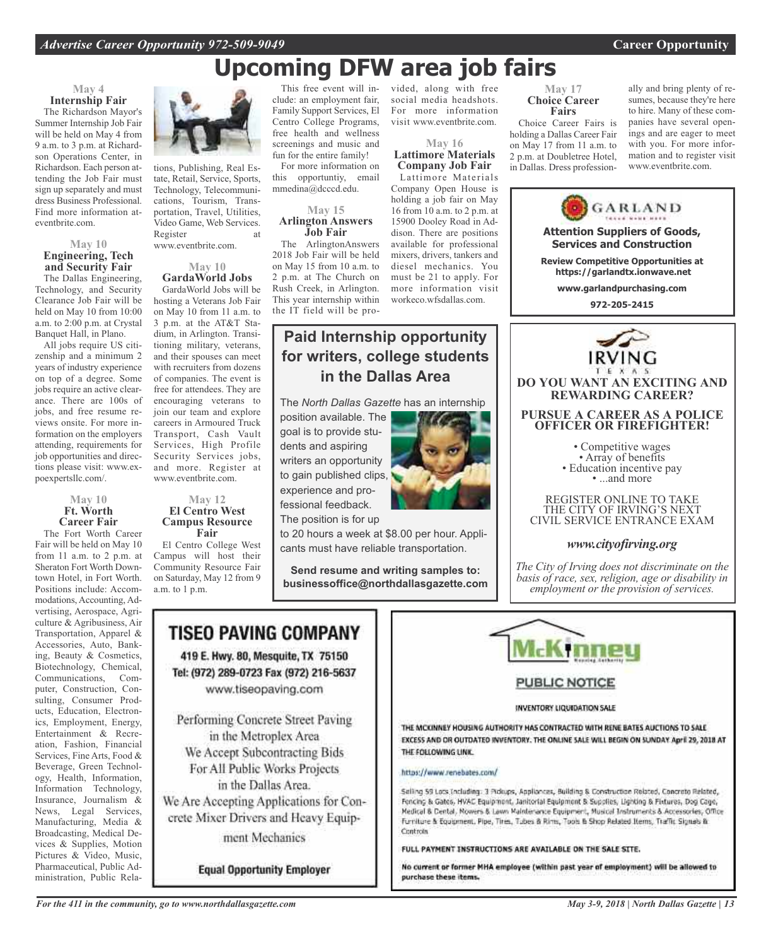# **Upcoming DFW area job fairs**

### **May 4 Internship Fair**

The Richardson Mayor's Summer Internship Job Fair will be held on May 4 from 9 a.m. to 3 p.m. at Richardson Operations Center, in Richardson. Each person attending the Job Fair must sign up separately and must dress Business Professional. Find more information ateventbrite.com.

### **May 10 Engineering, Tech and Security Fair**

The Dallas Engineering, Technology, and Security Clearance Job Fair will be held on May 10 from 10:00 a.m. to 2:00 p.m. at Crystal Banquet Hall, in Plano.

All jobs require US citizenship and a minimum 2 years of industry experience on top of a degree. Some jobs require an active clearance. There are 100s of jobs, and free resume reviews onsite. For more information on the employers attending, requirements for job opportunities and directions please visit: www.expoexpertsllc.com/.

### **May 10 Ft. Worth Career Fair**

The Fort Worth Career Fair will be held on May 10 from 11 a.m. to 2 p.m. at Sheraton Fort Worth Downtown Hotel, in Fort Worth. Positions include: Accommodations, Accounting, Advertising, Aerospace, Agriculture & Agribusiness, Air Transportation, Apparel & Accessories, Auto, Banking, Beauty & Cosmetics, Biotechnology, Chemical, Communications, Computer, Construction, Consulting, Consumer Products, Education, Electronics, Employment, Energy, Entertainment & Recreation, Fashion, Financial Services, Fine Arts, Food & Beverage, Green Technology, Health, Information, Information Technology, Insurance, Journalism & News, Legal Services, Manufacturing, Media & Broadcasting, Medical Devices & Supplies, Motion Pictures & Video, Music, Pharmaceutical, Public Administration, Public Rela-



tions, Publishing, Real Estate, Retail, Service, Sports, Technology, Telecommunications, Tourism, Transportation, Travel, Utilities, Video Game, Web Services. Register at www.eventbrite.com.

### **May 10 GardaWorld Jobs**

GardaWorld Jobs will be hosting a Veterans Job Fair on May 10 from 11 a.m. to 3 p.m. at the AT&T Stadium, in Arlington. Transitioning military, veterans, and their spouses can meet with recruiters from dozens of companies. The event is free for attendees. They are encouraging veterans to join our team and explore careers in Armoured Truck Transport, Cash Vault Services, High Profile Security Services jobs, and more. Register at www.eventbrite.com.

### **May 12 El Centro West Campus Resource Fair**

El Centro College West Campus will host their Community Resource Fair on Saturday, May 12 from 9 a.m. to 1 p.m.

This free event will include: an employment fair, Family Support Services, El Centro College Programs, free health and wellness screenings and music and fun for the entire family!

For more information on this opportuntiy, email mmedina@dcccd.edu.

### **May 15 Arlington Answers Job Fair**

The ArlingtonAnswers 2018 Job Fair will be held on May 15 from 10 a.m. to 2 p.m. at The Church on Rush Creek, in Arlington. This year internship within the IT field will be pro-

## **Paid Internship opportunity for writers, college students in the Dallas Area**

The *North Dallas Gazette* has an internship

position available. The goal is to provide students and aspiring writers an opportunity to gain published clips, experience and professional feedback. The position is for up



to 20 hours a week at \$8.00 per hour. Applicants must have reliable transportation.

**Send resume and writing samples to: businessoffice@northdallasgazette.com**

## TISEO PAVING COMPANY

419 E. Hwy. 80, Mesquite, TX 75150 Tel: (972) 289-0723 Fax (972) 216-5637 www.tiseopaving.com

Performing Concrete Street Paving in the Metroplex Area We Accept Subcontracting Bids For All Public Works Projects in the Dallas Area. We Are Accepting Applications for Concrete Mixer Drivers and Heavy Equipment Mechanics

**Equal Opportunity Employer** 

vided, along with free social media headshots. For more information visit www.eventbrite.com.

### **May 16 Lattimore Materials Company Job Fair**

Lattimore Materials Company Open House is holding a job fair on May 16 from 10 a.m. to 2 p.m. at 15900 Dooley Road in Addison. There are positions available for professional mixers, drivers, tankers and diesel mechanics. You must be 21 to apply. For more information visit workeco.wfsdallas.com.

### **May 17 Choice Career Fairs**

Choice Career Fairs is holding a Dallas Career Fair on May 17 from 11 a.m. to 2 p.m. at Doubletree Hotel, in Dallas. Dress professionally and bring plenty of resumes, because they're here to hire. Many of these companies have several openings and are eager to meet with you. For more information and to register visit www.eventbrite.com.





### **PUBLIC NOTICE**

### INVENTORY LIQUIDATION SALE

THE MCKINNEY HOUSING AUTHORITY HAS CONTRACTED WITH RENE BATES AUCTIONS TO SALE EXCESS AND OR OUTDATED INVENTORY. THE ONLINE SALE WILL BEGIN ON SUNDAY April 29, 2018 AT THE FOLLOWING LINK.

### https://www.renebates.com/

Selling 59 Lots Including: 3 Pickups, Appliances, Building & Construction Related, Concrete Related, Fencing & Gates, HVAC Equipment, Janitorial Equipment & Supplies, Lighting & Fixtures, Dog Cage, Medical & Dental, Rowers & Lawn Maintenance Equipment, Musical Instruments & Accessories, Office Furniture & Equipment, Pipe, Tires, Tubes & Rims, Tools & Shop Related Items, Traffic Signals & Controls

### FULL PAYMENT INSTRUCTIONS ARE AVAILABLE ON THE SALE SITE.

No current or former MHA employee (within past year of employment) will be allowed to purchase these items.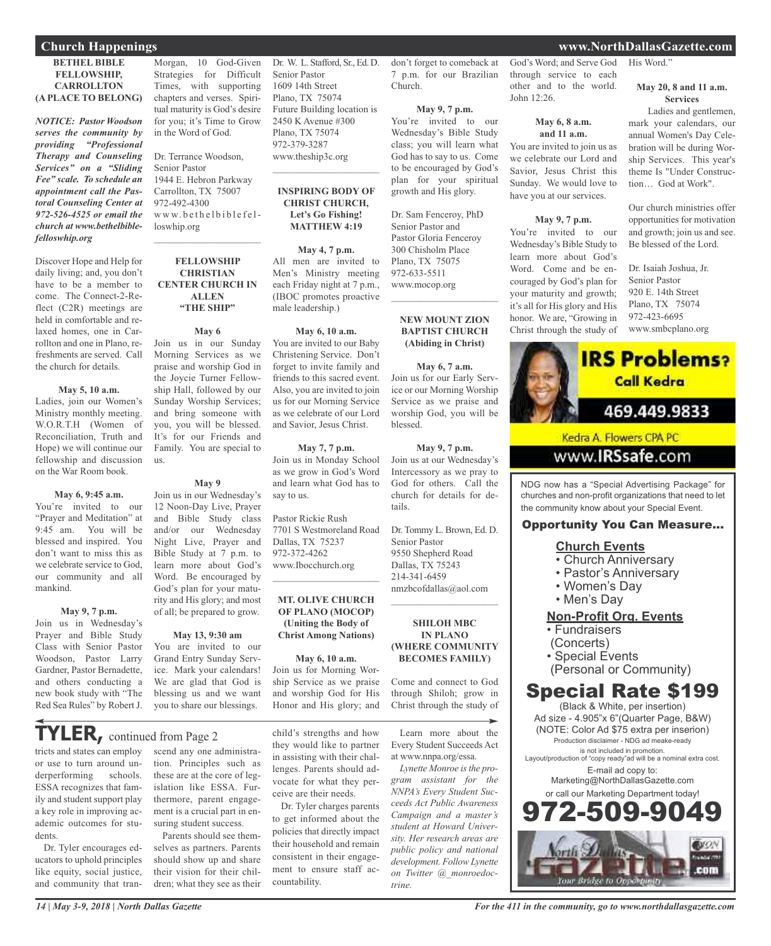### **BETHEL BIBLE FELLOWSHIP, CARROLLTON (A PLACE TO BELONG)**

*NOTICE: Pastor Woodson serves the community by providing "Professional Therapy and Counseling Services" on a "Sliding Fee" scale. To schedule an appointment call the Pastoral Counseling Center at 972-526-4525 or email the church at www.bethelbiblefelloswhip.org*

Discover Hope and Help for daily living; and, you don't have to be a member to come. The Connect-2-Reflect (C2R) meetings are held in comfortable and relaxed homes, one in Carrollton and one in Plano, refreshments are served. Call the church for details.

### **May 5, 10 a.m.**

Ladies, join our Women's Ministry monthly meeting. W.O.R.T.H (Women of Reconciliation, Truth and Hope) we will continue our fellowship and discussion on the War Room book.

### **May 6, 9:45 a.m.**

You're invited to our "Prayer and Meditation" at 9:45 am. You will be blessed and inspired. You don't want to miss this as we celebrate service to God, our community and all mankind.

### **May 9, 7 p.m.**

Join us in Wednesday's Prayer and Bible Study Class with Senior Pastor Woodson, Pastor Larry Gardner, Pastor Bernadette, and others conducting a new book study with "The Red Sea Rules" by Robert J.

Morgan, 10 God-Given Strategies for Difficult Times, with supporting chapters and verses. Spiritual maturity is God's desire for you; it's Time to Grow in the Word of God.

### Dr. Terrance Woodson, Senior Pastor 1944 E. Hebron Parkway

Carrollton, TX 75007 972-492-4300 www.bethelbiblefelloswhip.org

 $\mathcal{L}_\text{max}$  , which is a set of the set of the set of the set of the set of the set of the set of the set of the set of the set of the set of the set of the set of the set of the set of the set of the set of the set of

### **FELLOWSHIP CHRISTIAN CENTER CHURCH IN ALLEN "THE SHIP"**

**May 6**

Join us in our Sunday Morning Services as we praise and worship God in the Joycie Turner Fellowship Hall, followed by our Sunday Worship Services; and bring someone with you, you will be blessed. It's for our Friends and Family. You are special to us.

### **May 9**

Join us in our Wednesday's 12 Noon-Day Live, Prayer and Bible Study class and/or our Wednesday Night Live, Prayer and Bible Study at 7 p.m. to learn more about God's Word. Be encouraged by God's plan for your maturity and His glory; and most of all; be prepared to grow.

### **May 13, 9:30 am**

You are invited to our Grand Entry Sunday Service. Mark your calendars! We are glad that God is blessing us and we want you to share our blessings.

## **THER**, continued from Page 2

tricts and states can employ or use to turn around underperforming schools. ESSA recognizes that family and student support play a key role in improving academic outcomes for students.

Dr. Tyler encourages educators to uphold principles like equity, social justice, and community that tran-

scend any one administration. Principles such as these are at the core of legislation like ESSA. Furthermore, parent engagement is a crucial part in ensuring student success.

Parents should see themselves as partners. Parents should show up and share their vision for their children; what they see as their

Dr. W. L. Stafford, Sr., Ed. D. Senior Pastor 1609 14th Street Plano, TX 75074 Future Building location is 2450 K Avenue #300 Plano, TX 75074 972-379-3287 www.theship3c.org

### **INSPIRING BODY OF CHRIST CHURCH, Let's Go Fishing! MATTHEW 4:19**

 $\overline{\phantom{a}}$  , which is a set of the set of the set of the set of the set of the set of the set of the set of the set of the set of the set of the set of the set of the set of the set of the set of the set of the set of th

**May 4, 7 p.m.** All men are invited to Men's Ministry meeting each Friday night at 7 p.m., (IBOC promotes proactive male leadership.)

### **May 6, 10 a.m.**

You are invited to our Baby Christening Service. Don't forget to invite family and friends to this sacred event. Also, you are invited to join us for our Morning Service as we celebrate of our Lord and Savior, Jesus Christ.

### **May 7, 7 p.m.**

Join us in Monday School as we grow in God's Word and learn what God has to say to us.

Pastor Rickie Rush 7701 S Westmoreland Road Dallas, TX 75237 972-372-4262 www.Ibocchurch.org  $\overline{\phantom{a}}$  , which is a set of the set of the set of the set of the set of the set of the set of the set of the set of the set of the set of the set of the set of the set of the set of the set of the set of the set of th

### **MT. OLIVE CHURCH OF PLANO (MOCOP) (Uniting the Body of Christ Among Nations)**

**May 6, 10 a.m.** Join us for Morning Worship Service as we praise and worship God for His Honor and His glory; and

lenges. Parents should advocate for what they perceive are their needs.

Dr. Tyler charges parents to get informed about the policies that directly impact their household and remain consistent in their engagement to ensure staff ac-

countability.

child's strengths and how they would like to partner in assisting with their chal-Learn more about the Every Student Succeeds Act at www.nnpa.org/essa.

> Lynette Monroe is the pro*gram assistant for the NNPA's Every Student Succeeds Act Public Awareness Campaign and a master's student at Howard University. Her research areas are public policy and national development. Follow Lynette on Twitter @\_monroedoctrine.*

God's Word; and Serve God through service to each other and to the world. John 12:26.

don't forget to comeback at 7 p.m. for our Brazilian

**May 9, 7 p.m.** You're invited to our Wednesday's Bible Study class; you will learn what God has to say to us. Come to be encouraged by God's plan for your spiritual growth and His glory.

Dr. Sam Fenceroy, PhD Senior Pastor and Pastor Gloria Fenceroy 300 Chisholm Place Plano, TX 75075 972-633-5511 www.mocop.org

 $\overline{\phantom{a}}$  , and the set of the set of the set of the set of the set of the set of the set of the set of the set of the set of the set of the set of the set of the set of the set of the set of the set of the set of the s

**NEW MOUNT ZION BAPTIST CHURCH (Abiding in Christ)**

**May 6, 7 a.m.** Join us for our Early Service or our Morning Worship Service as we praise and worship God, you will be

**May 9, 7 p.m.** Join us at our Wednesday's Intercessory as we pray to God for others. Call the church for details for de-

Dr. Tommy L. Brown, Ed. D.

nmzbcofdallas@aol.com  $\overline{\phantom{a}}$  , and the set of the set of the set of the set of the set of the set of the set of the set of the set of the set of the set of the set of the set of the set of the set of the set of the set of the set of the s

**SHILOH MBC IN PLANO (WHERE COMMUNITY BECOMES FAMILY)**

Come and connect to God through Shiloh; grow in Christ through the study of

blessed.

tails.

Senior Pastor 9550 Shepherd Road Dallas, TX 75243 214-341-6459

Church.

### **May 6, 8 a.m. and 11 a.m.**

You are invited to join us as we celebrate our Lord and Savior, Jesus Christ this Sunday. We would love to have you at our services.

### **May 9, 7 p.m.**

You're invited to our Wednesday's Bible Study to learn more about God's Word. Come and be encouraged by God's plan for your maturity and growth; it's all for His glory and His honor. We are, "Growing in Christ through the study of

### **May 20, 8 and 11 a.m. Services**

Ladies and gentlemen, mark your calendars, our annual Women's Day Celebration will be during Worship Services. This year's theme Is "Under Construction… God at Work".

Our church ministries offer opportunities for motivation and growth; join us and see. Be blessed of the Lord.

Dr. Isaiah Joshua, Jr. Senior Pastor 920 E. 14th Street Plano, TX 75074 972-423-6695 www.smbcplano.org



www.IRSsafe.com

NDG now has a "Special Advertising Package" for churches and non-profit organizations that need to let the community know about your Special Event.

### Opportunity You Can Measure...

### **Church Events**

- Church Anniversary
- Pastor's Anniversary
- Women's Day
- Men's Day

### **Non-Profit Org. Events**

- Fundraisers
- (Concerts)
- Special Events
- (Personal or Community)

## Special Rate \$199

(Black & White, per insertion) Ad size - 4.905"x 6"(Quarter Page, B&W) (NOTE: Color Ad \$75 extra per inserion) Production disclaimer - NDG ad meake-ready is not included in promotion.

Layout/production of "copy ready"ad will be a nominal extra cost. E-mail ad copy to:

Marketing@NorthDallasGazette.com or call our Marketing Department today!



*14 | May 3-9, 2018 | North Dallas Gazette*

*For the 411 in the community, go to www.northdallasgazette.com*

### **Church Happenings www.NorthDallasGazette.com**

His Word."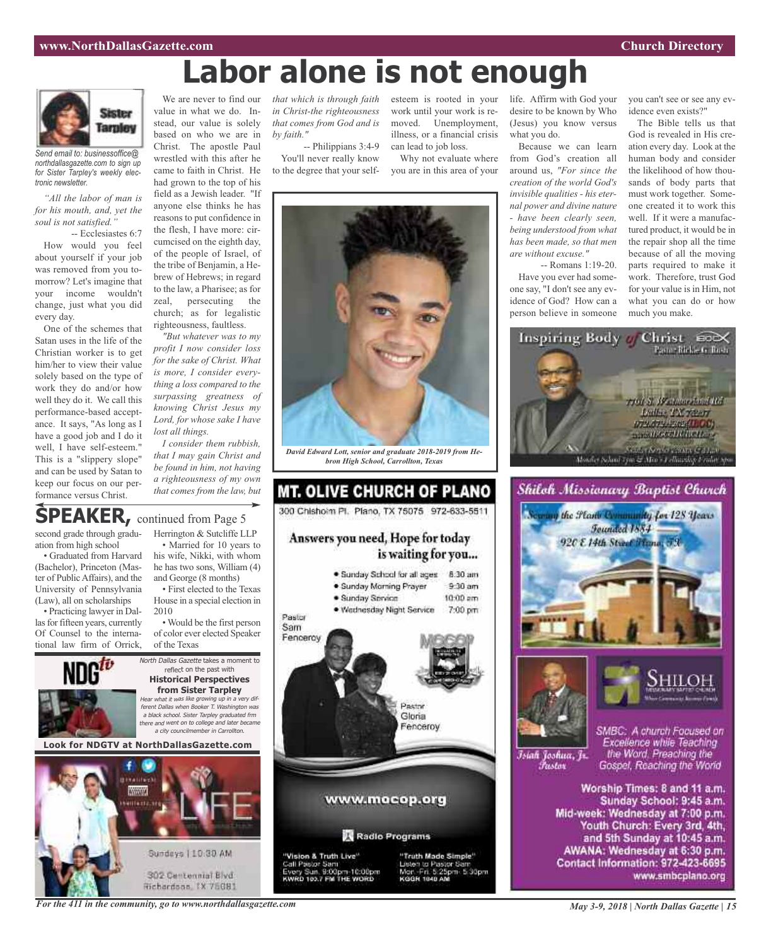# **Labor alone is not enough**



*Send email to: businessoffice@ northdallasgazette.com to sign up for Sister Tarpley's weekly electronic newsletter.*

*"All the labor of man is for his mouth, and, yet the soul is not satisfied."*

-- Ecclesiastes 6:7 How would you feel about yourself if your job was removed from you tomorrow? Let's imagine that your income wouldn't change, just what you did every day.

One of the schemes that Satan uses in the life of the Christian worker is to get him/her to view their value solely based on the type of work they do and/or how well they do it. We call this performance-based acceptance. It says, "As long as I have a good job and I do it well, I have self-esteem." This is a "slippery slope" and can be used by Satan to keep our focus on our performance versus Christ.

We are never to find our *that which is through faith* esteem is rooted in your value in what we do. Instead, our value is solely based on who we are in Christ. The apostle Paul wrestled with this after he came to faith in Christ. He had grown to the top of his field as a Jewish leader. "If anyone else thinks he has reasons to put confidence in the flesh, I have more: circumcised on the eighth day, of the people of Israel, of the tribe of Benjamin, a Hebrew of Hebrews; in regard to the law, a Pharisee; as for zeal, persecuting the church; as for legalistic

righteousness, faultless. *"But whatever was to my profit I now consider loss for the sake of Christ. What is more, I consider everything a loss compared to the surpassing greatness of knowing Christ Jesus my Lord, for whose sake I have lost all things.*

*I consider them rubbish, that I may gain Christ and be found in him, not having a righteousness of my own that comes from the law, but*

*in Christ-the righteousness that comes from God and is by faith."*

-- Philippians 3:4-9 You'll never really know to the degree that your selfwork until your work is removed. Unemployment, illness, or a financial crisis can lead to job loss.

Why not evaluate where you are in this area of your



Because we can learn from God's creation all around us, *"For since the creation of the world God's invisible qualities - his eternal power and divine nature - have been clearly seen, being understood from what has been made, so that men are without excuse."*

-- Romans 1:19-20. Have you ever had someone say, "I don't see any evidence of God? How can a person believe in someone you can't see or see any evidence even exists?"

The Bible tells us that God is revealed in His creation every day. Look at the human body and consider the likelihood of how thousands of body parts that must work together. Someone created it to work this well. If it were a manufactured product, it would be in the repair shop all the time because of all the moving parts required to make it work. Therefore, trust God for your value is in Him, not what you can do or how much you make.





Worship Times: 8 and 11 a.m. Sunday School: 9:45 a.m. Mid-week: Wednesday at 7:00 p.m. Youth Church: Every 3rd, 4th, and 5th Sunday at 10:45 a.m. AWANA: Wednesday at 6:30 p.m. Contact Information: 972-423-6695 www.smbcplano.org

## **SPEAKER,** continued from Page <sup>5</sup>

second grade through graduation from high school

• Graduated from Harvard (Bachelor), Princeton (Master of PublicAffairs), and the University of Pennsylvania (Law), all on scholarships

• Practicing lawyer in Dallas for fifteen years, currently Of Counsel to the international law firm of Orrick,



Herrington & Sutcliffe LLP • Married for 10 years to his wife, Nikki, with whom he has two sons, William (4) and George (8 months)

• First elected to the Texas House in a special election in 2010

• Would be the first person of color ever elected Speaker of the Texas

North Dallas Gazette takes a moment to reflect on the past with **Historical Perspectives from Sister Tarpley** Hear what it was like growing up in <sup>a</sup> very different Dallas when Booker T. Washington was <sup>a</sup> black school. Sister Tarpley graduated frm there and went on to college and later became <sup>a</sup> city councilmember in Carrollton.

**Look for NDGTV at NorthDallasGazette.com**





*David Edward Lott, senior and graduate 2018-2019 from Hebron High School, Carrollton, Texas*

**MT. OLIVE CHURCH OF PLANO** 

300 Chishoim Pl. Plano, TX 75075 972-633-5511

*For the 411 in the community, go to www.northdallasgazette.com*